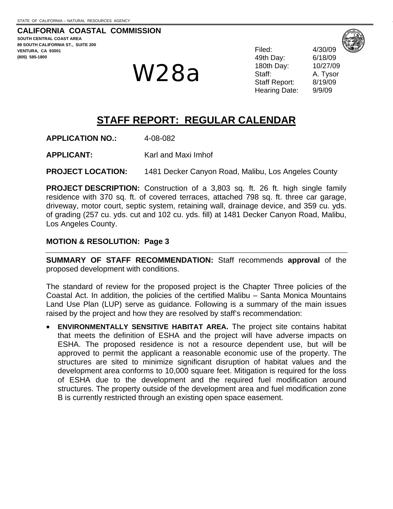**CALIFORNIA COASTAL COMMISSION SOUTH CENTRAL COAST AREA 89 SOUTH CALIFORNIA ST., SUITE 200 VENTURA, CA 93001 (805) 585-1800** 

# W28a

49th Day: 6/18/09 180th Day: 10/27/09 Staff: A. Tysor Staff Report: 8/19/09 Hearing Date: 9/9/09

Filed: 4/30/09

# **STAFF REPORT: REGULAR CALENDAR**

**APPLICATION NO.:** 4-08-082

**APPLICANT:** Karl and Maxi Imhof

**PROJECT LOCATION:** 1481 Decker Canyon Road, Malibu, Los Angeles County

**PROJECT DESCRIPTION:** Construction of a 3,803 sq. ft. 26 ft. high single family residence with 370 sq. ft. of covered terraces, attached 798 sq. ft. three car garage, driveway, motor court, septic system, retaining wall, drainage device, and 359 cu. yds. of grading (257 cu. yds. cut and 102 cu. yds. fill) at 1481 Decker Canyon Road, Malibu, Los Angeles County.

#### **MOTION & RESOLUTION: Page 3**

**SUMMARY OF STAFF RECOMMENDATION:** Staff recommends **approval** of the proposed development with conditions.

The standard of review for the proposed project is the Chapter Three policies of the Coastal Act. In addition, the policies of the certified Malibu – Santa Monica Mountains Land Use Plan (LUP) serve as guidance. Following is a summary of the main issues raised by the project and how they are resolved by staff's recommendation:

• **ENVIRONMENTALLY SENSITIVE HABITAT AREA.** The project site contains habitat that meets the definition of ESHA and the project will have adverse impacts on ESHA. The proposed residence is not a resource dependent use, but will be approved to permit the applicant a reasonable economic use of the property. The structures are sited to minimize significant disruption of habitat values and the development area conforms to 10,000 square feet. Mitigation is required for the loss of ESHA due to the development and the required fuel modification around structures. The property outside of the development area and fuel modification zone B is currently restricted through an existing open space easement.



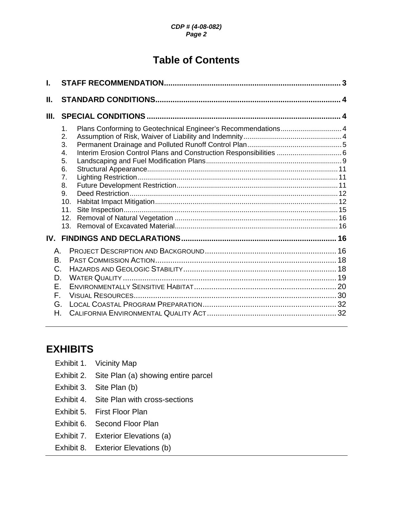# **Table of Contents**

| I.                                                  |                                                                                                                                                                                                                       | 3 |
|-----------------------------------------------------|-----------------------------------------------------------------------------------------------------------------------------------------------------------------------------------------------------------------------|---|
| Ш.                                                  |                                                                                                                                                                                                                       |   |
| III.                                                |                                                                                                                                                                                                                       |   |
|                                                     | Plans Conforming to Geotechnical Engineer's Recommendations 4<br>1.<br>2.<br>3.<br>Interim Erosion Control Plans and Construction Responsibilities  6<br>4.<br>5.<br>6.<br>7.<br>8.<br>9.<br>10.<br>11.<br>12.<br>13. |   |
|                                                     |                                                                                                                                                                                                                       |   |
| Α.<br><b>B.</b><br>C.<br>D.<br>Ε.<br>F.<br>G.<br>Н. |                                                                                                                                                                                                                       |   |

# **EXHIBIT**

| <b>XHIBITS</b> |                                     |
|----------------|-------------------------------------|
| Exhibit 1.     | Vicinity Map                        |
| Exhibit 2.     | Site Plan (a) showing entire parcel |
| Exhibit 3.     | Site Plan (b)                       |
| Exhibit 4.     | Site Plan with cross-sections       |
| Exhibit 5.     | First Floor Plan                    |
| Exhibit 6.     | Second Floor Plan                   |
| Exhibit 7.     | Exterior Elevations (a)             |
| Exhibit 8.     | Exterior Elevations (b)             |
|                |                                     |
|                |                                     |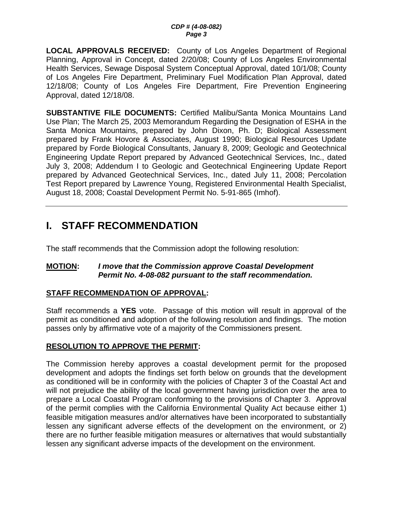<span id="page-2-0"></span>**LOCAL APPROVALS RECEIVED:** County of Los Angeles Department of Regional Planning, Approval in Concept, dated 2/20/08; County of Los Angeles Environmental Health Services, Sewage Disposal System Conceptual Approval, dated 10/1/08; County of Los Angeles Fire Department, Preliminary Fuel Modification Plan Approval, dated 12/18/08; County of Los Angeles Fire Department, Fire Prevention Engineering Approval, dated 12/18/08.

**SUBSTANTIVE FILE DOCUMENTS:** Certified Malibu/Santa Monica Mountains Land Use Plan; The March 25, 2003 Memorandum Regarding the Designation of ESHA in the Santa Monica Mountains, prepared by John Dixon, Ph. D; Biological Assessment prepared by Frank Hovore & Associates, August 1990; Biological Resources Update prepared by Forde Biological Consultants, January 8, 2009; Geologic and Geotechnical Engineering Update Report prepared by Advanced Geotechnical Services, Inc., dated July 3, 2008; Addendum I to Geologic and Geotechnical Engineering Update Report prepared by Advanced Geotechnical Services, Inc., dated July 11, 2008; Percolation Test Report prepared by Lawrence Young, Registered Environmental Health Specialist, August 18, 2008; Coastal Development Permit No. 5-91-865 (Imhof).

# **I. STAFF RECOMMENDATION**

The staff recommends that the Commission adopt the following resolution:

#### **MOTION:** *I move that the Commission approve Coastal Development Permit No. 4-08-082 pursuant to the staff recommendation.*

#### **STAFF RECOMMENDATION OF APPROVAL:**

Staff recommends a **YES** vote. Passage of this motion will result in approval of the permit as conditioned and adoption of the following resolution and findings. The motion passes only by affirmative vote of a majority of the Commissioners present.

## **RESOLUTION TO APPROVE THE PERMIT:**

The Commission hereby approves a coastal development permit for the proposed development and adopts the findings set forth below on grounds that the development as conditioned will be in conformity with the policies of Chapter 3 of the Coastal Act and will not prejudice the ability of the local government having jurisdiction over the area to prepare a Local Coastal Program conforming to the provisions of Chapter 3. Approval of the permit complies with the California Environmental Quality Act because either 1) feasible mitigation measures and/or alternatives have been incorporated to substantially lessen any significant adverse effects of the development on the environment, or 2) there are no further feasible mitigation measures or alternatives that would substantially lessen any significant adverse impacts of the development on the environment.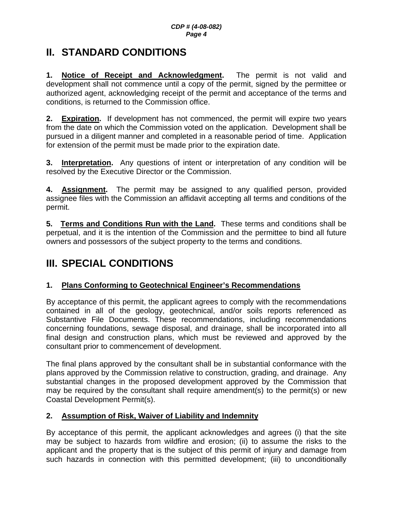# <span id="page-3-0"></span>**II. STANDARD CONDITIONS**

**1. Notice of Receipt and Acknowledgment.** The permit is not valid and development shall not commence until a copy of the permit, signed by the permittee or authorized agent, acknowledging receipt of the permit and acceptance of the terms and conditions, is returned to the Commission office.

**2. Expiration.** If development has not commenced, the permit will expire two years from the date on which the Commission voted on the application. Development shall be pursued in a diligent manner and completed in a reasonable period of time. Application for extension of the permit must be made prior to the expiration date.

**3. Interpretation.** Any questions of intent or interpretation of any condition will be resolved by the Executive Director or the Commission.

**4. Assignment.** The permit may be assigned to any qualified person, provided assignee files with the Commission an affidavit accepting all terms and conditions of the permit.

**5. Terms and Conditions Run with the Land.** These terms and conditions shall be perpetual, and it is the intention of the Commission and the permittee to bind all future owners and possessors of the subject property to the terms and conditions.

# **III. SPECIAL CONDITIONS**

## **1. Plans Conforming to Geotechnical Engineer's Recommendations**

By acceptance of this permit, the applicant agrees to comply with the recommendations contained in all of the geology, geotechnical, and/or soils reports referenced as Substantive File Documents. These recommendations, including recommendations concerning foundations, sewage disposal, and drainage, shall be incorporated into all final design and construction plans, which must be reviewed and approved by the consultant prior to commencement of development.

The final plans approved by the consultant shall be in substantial conformance with the plans approved by the Commission relative to construction, grading, and drainage. Any substantial changes in the proposed development approved by the Commission that may be required by the consultant shall require amendment(s) to the permit(s) or new Coastal Development Permit(s).

## **2. Assumption of Risk, Waiver of Liability and Indemnity**

By acceptance of this permit, the applicant acknowledges and agrees (i) that the site may be subject to hazards from wildfire and erosion; (ii) to assume the risks to the applicant and the property that is the subject of this permit of injury and damage from such hazards in connection with this permitted development; (iii) to unconditionally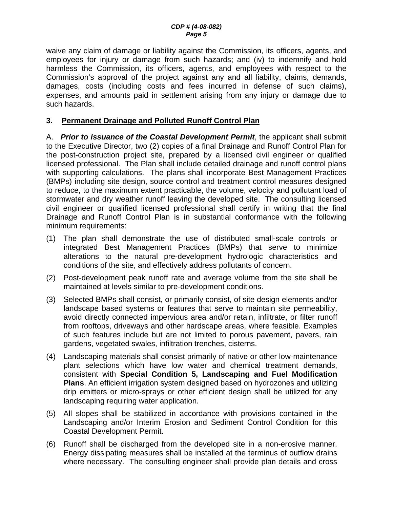<span id="page-4-0"></span>waive any claim of damage or liability against the Commission, its officers, agents, and employees for injury or damage from such hazards; and (iv) to indemnify and hold harmless the Commission, its officers, agents, and employees with respect to the Commission's approval of the project against any and all liability, claims, demands, damages, costs (including costs and fees incurred in defense of such claims), expenses, and amounts paid in settlement arising from any injury or damage due to such hazards.

#### **3. Permanent Drainage and Polluted Runoff Control Plan**

A. *Prior to issuance of the Coastal Development Permit*, the applicant shall submit to the Executive Director, two (2) copies of a final Drainage and Runoff Control Plan for the post-construction project site, prepared by a licensed civil engineer or qualified licensed professional. The Plan shall include detailed drainage and runoff control plans with supporting calculations. The plans shall incorporate Best Management Practices (BMPs) including site design, source control and treatment control measures designed to reduce, to the maximum extent practicable, the volume, velocity and pollutant load of stormwater and dry weather runoff leaving the developed site. The consulting licensed civil engineer or qualified licensed professional shall certify in writing that the final Drainage and Runoff Control Plan is in substantial conformance with the following minimum requirements:

- (1) The plan shall demonstrate the use of distributed small-scale controls or integrated Best Management Practices (BMPs) that serve to minimize alterations to the natural pre-development hydrologic characteristics and conditions of the site, and effectively address pollutants of concern.
- (2) Post-development peak runoff rate and average volume from the site shall be maintained at levels similar to pre-development conditions.
- (3) Selected BMPs shall consist, or primarily consist, of site design elements and/or landscape based systems or features that serve to maintain site permeability, avoid directly connected impervious area and/or retain, infiltrate, or filter runoff from rooftops, driveways and other hardscape areas, where feasible. Examples of such features include but are not limited to porous pavement, pavers, rain gardens, vegetated swales, infiltration trenches, cisterns.
- (4) Landscaping materials shall consist primarily of native or other low-maintenance plant selections which have low water and chemical treatment demands, consistent with **Special Condition 5, Landscaping and Fuel Modification Plans**. An efficient irrigation system designed based on hydrozones and utilizing drip emitters or micro-sprays or other efficient design shall be utilized for any landscaping requiring water application.
- (5) All slopes shall be stabilized in accordance with provisions contained in the Landscaping and/or Interim Erosion and Sediment Control Condition for this Coastal Development Permit.
- (6) Runoff shall be discharged from the developed site in a non-erosive manner. Energy dissipating measures shall be installed at the terminus of outflow drains where necessary. The consulting engineer shall provide plan details and cross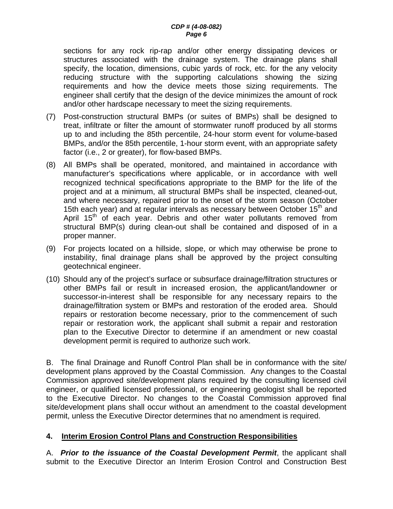<span id="page-5-0"></span>sections for any rock rip-rap and/or other energy dissipating devices or structures associated with the drainage system. The drainage plans shall specify, the location, dimensions, cubic yards of rock, etc. for the any velocity reducing structure with the supporting calculations showing the sizing requirements and how the device meets those sizing requirements. The engineer shall certify that the design of the device minimizes the amount of rock and/or other hardscape necessary to meet the sizing requirements.

- (7) Post-construction structural BMPs (or suites of BMPs) shall be designed to treat, infiltrate or filter the amount of stormwater runoff produced by all storms up to and including the 85th percentile, 24-hour storm event for volume-based BMPs, and/or the 85th percentile, 1-hour storm event, with an appropriate safety factor (i.e., 2 or greater), for flow-based BMPs.
- (8) All BMPs shall be operated, monitored, and maintained in accordance with manufacturer's specifications where applicable, or in accordance with well recognized technical specifications appropriate to the BMP for the life of the project and at a minimum, all structural BMPs shall be inspected, cleaned-out, and where necessary, repaired prior to the onset of the storm season (October 15th each year) and at regular intervals as necessary between October 15<sup>th</sup> and April  $15<sup>th</sup>$  of each year. Debris and other water pollutants removed from structural BMP(s) during clean-out shall be contained and disposed of in a proper manner.
- (9) For projects located on a hillside, slope, or which may otherwise be prone to instability, final drainage plans shall be approved by the project consulting geotechnical engineer.
- (10) Should any of the project's surface or subsurface drainage/filtration structures or other BMPs fail or result in increased erosion, the applicant/landowner or successor-in-interest shall be responsible for any necessary repairs to the drainage/filtration system or BMPs and restoration of the eroded area. Should repairs or restoration become necessary, prior to the commencement of such repair or restoration work, the applicant shall submit a repair and restoration plan to the Executive Director to determine if an amendment or new coastal development permit is required to authorize such work.

B. The final Drainage and Runoff Control Plan shall be in conformance with the site/ development plans approved by the Coastal Commission. Any changes to the Coastal Commission approved site/development plans required by the consulting licensed civil engineer, or qualified licensed professional, or engineering geologist shall be reported to the Executive Director. No changes to the Coastal Commission approved final site/development plans shall occur without an amendment to the coastal development permit, unless the Executive Director determines that no amendment is required.

#### **4. Interim Erosion Control Plans and Construction Responsibilities**

A. *Prior to the issuance of the Coastal Development Permit*, the applicant shall submit to the Executive Director an Interim Erosion Control and Construction Best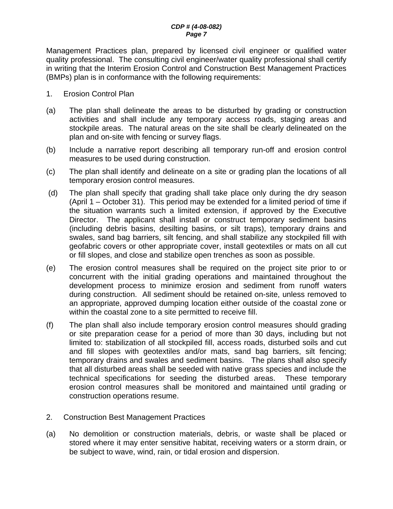Management Practices plan, prepared by licensed civil engineer or qualified water quality professional. The consulting civil engineer/water quality professional shall certify in writing that the Interim Erosion Control and Construction Best Management Practices (BMPs) plan is in conformance with the following requirements:

- 1. Erosion Control Plan
- (a) The plan shall delineate the areas to be disturbed by grading or construction activities and shall include any temporary access roads, staging areas and stockpile areas. The natural areas on the site shall be clearly delineated on the plan and on-site with fencing or survey flags.
- (b) Include a narrative report describing all temporary run-off and erosion control measures to be used during construction.
- (c) The plan shall identify and delineate on a site or grading plan the locations of all temporary erosion control measures.
- (d) The plan shall specify that grading shall take place only during the dry season (April 1 – October 31). This period may be extended for a limited period of time if the situation warrants such a limited extension, if approved by the Executive Director. The applicant shall install or construct temporary sediment basins (including debris basins, desilting basins, or silt traps), temporary drains and swales, sand bag barriers, silt fencing, and shall stabilize any stockpiled fill with geofabric covers or other appropriate cover, install geotextiles or mats on all cut or fill slopes, and close and stabilize open trenches as soon as possible.
- (e) The erosion control measures shall be required on the project site prior to or concurrent with the initial grading operations and maintained throughout the development process to minimize erosion and sediment from runoff waters during construction. All sediment should be retained on-site, unless removed to an appropriate, approved dumping location either outside of the coastal zone or within the coastal zone to a site permitted to receive fill.
- (f) The plan shall also include temporary erosion control measures should grading or site preparation cease for a period of more than 30 days, including but not limited to: stabilization of all stockpiled fill, access roads, disturbed soils and cut and fill slopes with geotextiles and/or mats, sand bag barriers, silt fencing; temporary drains and swales and sediment basins. The plans shall also specify that all disturbed areas shall be seeded with native grass species and include the technical specifications for seeding the disturbed areas. These temporary erosion control measures shall be monitored and maintained until grading or construction operations resume.
- 2. Construction Best Management Practices
- (a) No demolition or construction materials, debris, or waste shall be placed or stored where it may enter sensitive habitat, receiving waters or a storm drain, or be subject to wave, wind, rain, or tidal erosion and dispersion.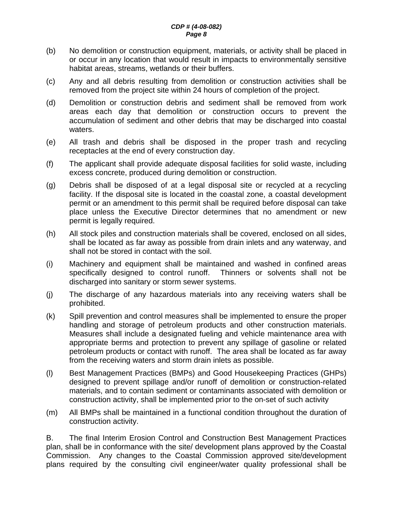- (b) No demolition or construction equipment, materials, or activity shall be placed in or occur in any location that would result in impacts to environmentally sensitive habitat areas, streams, wetlands or their buffers.
- (c) Any and all debris resulting from demolition or construction activities shall be removed from the project site within 24 hours of completion of the project.
- (d) Demolition or construction debris and sediment shall be removed from work areas each day that demolition or construction occurs to prevent the accumulation of sediment and other debris that may be discharged into coastal waters.
- (e) All trash and debris shall be disposed in the proper trash and recycling receptacles at the end of every construction day.
- (f) The applicant shall provide adequate disposal facilities for solid waste, including excess concrete, produced during demolition or construction.
- (g) Debris shall be disposed of at a legal disposal site or recycled at a recycling facility. If the disposal site is located in the coastal zone, a coastal development permit or an amendment to this permit shall be required before disposal can take place unless the Executive Director determines that no amendment or new permit is legally required.
- (h) All stock piles and construction materials shall be covered, enclosed on all sides, shall be located as far away as possible from drain inlets and any waterway, and shall not be stored in contact with the soil.
- (i) Machinery and equipment shall be maintained and washed in confined areas specifically designed to control runoff. Thinners or solvents shall not be discharged into sanitary or storm sewer systems.
- (j) The discharge of any hazardous materials into any receiving waters shall be prohibited.
- (k) Spill prevention and control measures shall be implemented to ensure the proper handling and storage of petroleum products and other construction materials. Measures shall include a designated fueling and vehicle maintenance area with appropriate berms and protection to prevent any spillage of gasoline or related petroleum products or contact with runoff. The area shall be located as far away from the receiving waters and storm drain inlets as possible.
- (l) Best Management Practices (BMPs) and Good Housekeeping Practices (GHPs) designed to prevent spillage and/or runoff of demolition or construction-related materials, and to contain sediment or contaminants associated with demolition or construction activity, shall be implemented prior to the on-set of such activity
- (m) All BMPs shall be maintained in a functional condition throughout the duration of construction activity.

B. The final Interim Erosion Control and Construction Best Management Practices plan, shall be in conformance with the site/ development plans approved by the Coastal Commission. Any changes to the Coastal Commission approved site/development plans required by the consulting civil engineer/water quality professional shall be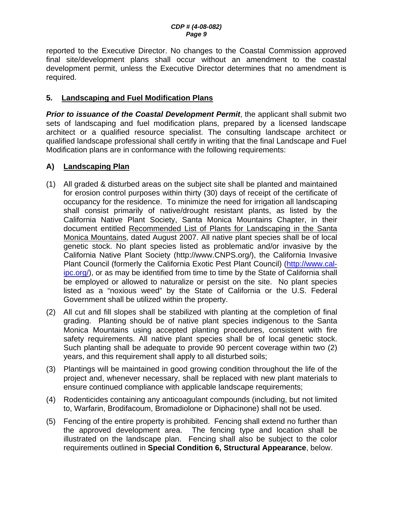<span id="page-8-0"></span>reported to the Executive Director. No changes to the Coastal Commission approved final site/development plans shall occur without an amendment to the coastal development permit, unless the Executive Director determines that no amendment is required.

#### **5. Landscaping and Fuel Modification Plans**

**Prior to issuance of the Coastal Development Permit**, the applicant shall submit two sets of landscaping and fuel modification plans, prepared by a licensed landscape architect or a qualified resource specialist. The consulting landscape architect or qualified landscape professional shall certify in writing that the final Landscape and Fuel Modification plans are in conformance with the following requirements:

#### **A) Landscaping Plan**

- (1) All graded & disturbed areas on the subject site shall be planted and maintained for erosion control purposes within thirty (30) days of receipt of the certificate of occupancy for the residence. To minimize the need for irrigation all landscaping shall consist primarily of native/drought resistant plants, as listed by the California Native Plant Society, Santa Monica Mountains Chapter, in their document entitled Recommended List of Plants for Landscaping in the Santa Monica Mountains, dated August 2007. All native plant species shall be of local genetic stock. No plant species listed as problematic and/or invasive by the California Native Plant Society ([http://www.CNPS.org/\)](http://www.cnps.org/), the California Invasive Plant Council (formerly the California Exotic Pest Plant Council) ([http://www.cal](http://www.cal-ipc.org/)[ipc.org/](http://www.cal-ipc.org/)), or as may be identified from time to time by the State of California shall be employed or allowed to naturalize or persist on the site. No plant species listed as a "noxious weed" by the State of California or the U.S. Federal Government shall be utilized within the property.
- (2) All cut and fill slopes shall be stabilized with planting at the completion of final grading. Planting should be of native plant species indigenous to the Santa Monica Mountains using accepted planting procedures, consistent with fire safety requirements. All native plant species shall be of local genetic stock. Such planting shall be adequate to provide 90 percent coverage within two (2) years, and this requirement shall apply to all disturbed soils;
- (3) Plantings will be maintained in good growing condition throughout the life of the project and, whenever necessary, shall be replaced with new plant materials to ensure continued compliance with applicable landscape requirements;
- (4) Rodenticides containing any anticoagulant compounds (including, but not limited to, Warfarin, Brodifacoum, Bromadiolone or Diphacinone) shall not be used.
- (5) Fencing of the entire property is prohibited. Fencing shall extend no further than the approved development area. The fencing type and location shall be illustrated on the landscape plan. Fencing shall also be subject to the color requirements outlined in **Special Condition [6,](#page-10-0) Structural Appearance**, below.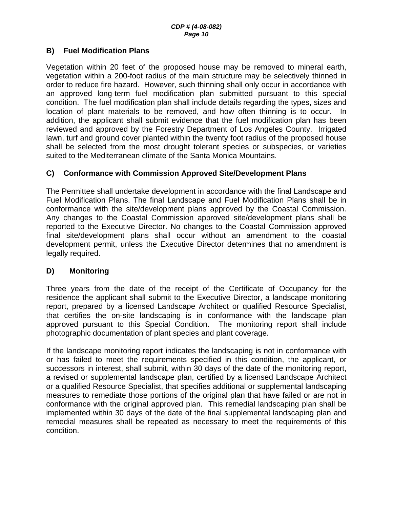#### **B) Fuel Modification Plans**

Vegetation within 20 feet of the proposed house may be removed to mineral earth, vegetation within a 200-foot radius of the main structure may be selectively thinned in order to reduce fire hazard. However, such thinning shall only occur in accordance with an approved long-term fuel modification plan submitted pursuant to this special condition. The fuel modification plan shall include details regarding the types, sizes and location of plant materials to be removed, and how often thinning is to occur. In addition, the applicant shall submit evidence that the fuel modification plan has been reviewed and approved by the Forestry Department of Los Angeles County. Irrigated lawn, turf and ground cover planted within the twenty foot radius of the proposed house shall be selected from the most drought tolerant species or subspecies, or varieties suited to the Mediterranean climate of the Santa Monica Mountains.

#### **C) Conformance with Commission Approved Site/Development Plans**

The Permittee shall undertake development in accordance with the final Landscape and Fuel Modification Plans. The final Landscape and Fuel Modification Plans shall be in conformance with the site/development plans approved by the Coastal Commission. Any changes to the Coastal Commission approved site/development plans shall be reported to the Executive Director. No changes to the Coastal Commission approved final site/development plans shall occur without an amendment to the coastal development permit, unless the Executive Director determines that no amendment is legally required.

#### **D) Monitoring**

Three years from the date of the receipt of the Certificate of Occupancy for the residence the applicant shall submit to the Executive Director, a landscape monitoring report, prepared by a licensed Landscape Architect or qualified Resource Specialist, that certifies the on-site landscaping is in conformance with the landscape plan approved pursuant to this Special Condition. The monitoring report shall include photographic documentation of plant species and plant coverage.

If the landscape monitoring report indicates the landscaping is not in conformance with or has failed to meet the requirements specified in this condition, the applicant, or successors in interest, shall submit, within 30 days of the date of the monitoring report, a revised or supplemental landscape plan, certified by a licensed Landscape Architect or a qualified Resource Specialist, that specifies additional or supplemental landscaping measures to remediate those portions of the original plan that have failed or are not in conformance with the original approved plan. This remedial landscaping plan shall be implemented within 30 days of the date of the final supplemental landscaping plan and remedial measures shall be repeated as necessary to meet the requirements of this condition.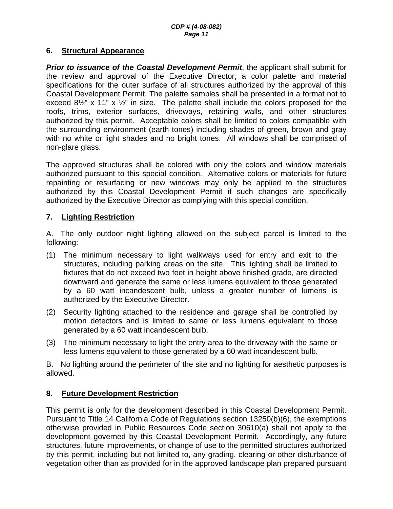#### <span id="page-10-0"></span>**6. Structural Appearance**

*Prior to issuance of the Coastal Development Permit*, the applicant shall submit for the review and approval of the Executive Director, a color palette and material specifications for the outer surface of all structures authorized by the approval of this Coastal Development Permit. The palette samples shall be presented in a format not to exceed  $8\frac{1}{2}$ " x 11" x  $\frac{1}{2}$ " in size. The palette shall include the colors proposed for the roofs, trims, exterior surfaces, driveways, retaining walls, and other structures authorized by this permit. Acceptable colors shall be limited to colors compatible with the surrounding environment (earth tones) including shades of green, brown and gray with no white or light shades and no bright tones. All windows shall be comprised of non-glare glass.

The approved structures shall be colored with only the colors and window materials authorized pursuant to this special condition. Alternative colors or materials for future repainting or resurfacing or new windows may only be applied to the structures authorized by this Coastal Development Permit if such changes are specifically authorized by the Executive Director as complying with this special condition.

#### **7. Lighting Restriction**

A. The only outdoor night lighting allowed on the subject parcel is limited to the following:

- (1) The minimum necessary to light walkways used for entry and exit to the structures, including parking areas on the site. This lighting shall be limited to fixtures that do not exceed two feet in height above finished grade, are directed downward and generate the same or less lumens equivalent to those generated by a 60 watt incandescent bulb, unless a greater number of lumens is authorized by the Executive Director.
- (2) Security lighting attached to the residence and garage shall be controlled by motion detectors and is limited to same or less lumens equivalent to those generated by a 60 watt incandescent bulb.
- (3) The minimum necessary to light the entry area to the driveway with the same or less lumens equivalent to those generated by a 60 watt incandescent bulb.

B. No lighting around the perimeter of the site and no lighting for aesthetic purposes is allowed.

#### **8. Future Development Restriction**

This permit is only for the development described in this Coastal Development Permit. Pursuant to Title 14 California Code of Regulations section 13250(b)(6), the exemptions otherwise provided in Public Resources Code section 30610(a) shall not apply to the development governed by this Coastal Development Permit. Accordingly, any future structures, future improvements, or change of use to the permitted structures authorized by this permit, including but not limited to, any grading, clearing or other disturbance of vegetation other than as provided for in the approved landscape plan prepared pursuant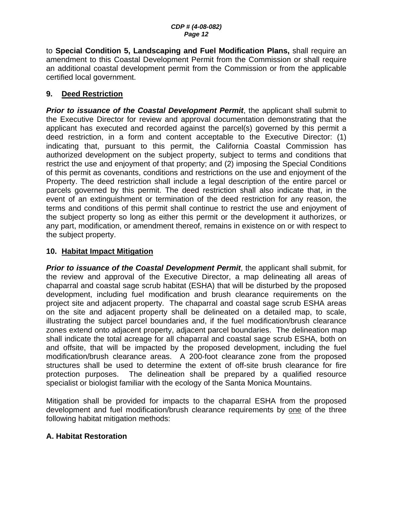<span id="page-11-0"></span>to **Special Condition 5, Landscaping and Fuel Modification Plans,** shall require an amendment to this Coastal Development Permit from the Commission or shall require an additional coastal development permit from the Commission or from the applicable certified local government.

#### **9. Deed Restriction**

*Prior to issuance of the Coastal Development Permit*, the applicant shall submit to the Executive Director for review and approval documentation demonstrating that the applicant has executed and recorded against the parcel(s) governed by this permit a deed restriction, in a form and content acceptable to the Executive Director: (1) indicating that, pursuant to this permit, the California Coastal Commission has authorized development on the subject property, subject to terms and conditions that restrict the use and enjoyment of that property; and (2) imposing the Special Conditions of this permit as covenants, conditions and restrictions on the use and enjoyment of the Property. The deed restriction shall include a legal description of the entire parcel or parcels governed by this permit. The deed restriction shall also indicate that, in the event of an extinguishment or termination of the deed restriction for any reason, the terms and conditions of this permit shall continue to restrict the use and enjoyment of the subject property so long as either this permit or the development it authorizes, or any part, modification, or amendment thereof, remains in existence on or with respect to the subject property.

#### **10. Habitat Impact Mitigation**

**Prior to issuance of the Coastal Development Permit, the applicant shall submit, for** the review and approval of the Executive Director, a map delineating all areas of chaparral and coastal sage scrub habitat (ESHA) that will be disturbed by the proposed development, including fuel modification and brush clearance requirements on the project site and adjacent property. The chaparral and coastal sage scrub ESHA areas on the site and adjacent property shall be delineated on a detailed map, to scale, illustrating the subject parcel boundaries and, if the fuel modification/brush clearance zones extend onto adjacent property, adjacent parcel boundaries. The delineation map shall indicate the total acreage for all chaparral and coastal sage scrub ESHA, both on and offsite, that will be impacted by the proposed development, including the fuel modification/brush clearance areas. A 200-foot clearance zone from the proposed structures shall be used to determine the extent of off-site brush clearance for fire protection purposes. The delineation shall be prepared by a qualified resource specialist or biologist familiar with the ecology of the Santa Monica Mountains.

Mitigation shall be provided for impacts to the chaparral ESHA from the proposed development and fuel modification/brush clearance requirements by one of the three following habitat mitigation methods:

#### **A. Habitat Restoration**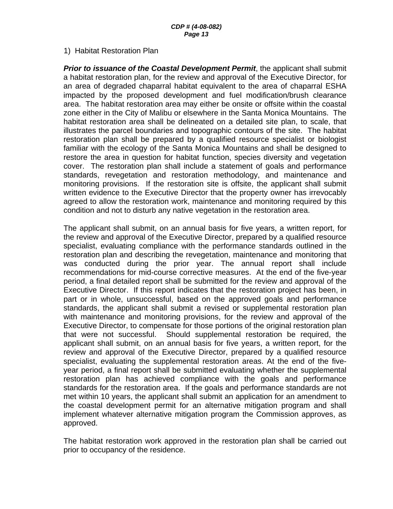#### 1) Habitat Restoration Plan

**Prior to issuance of the Coastal Development Permit**, the applicant shall submit a habitat restoration plan, for the review and approval of the Executive Director, for an area of degraded chaparral habitat equivalent to the area of chaparral ESHA impacted by the proposed development and fuel modification/brush clearance area. The habitat restoration area may either be onsite or offsite within the coastal zone either in the City of Malibu or elsewhere in the Santa Monica Mountains. The habitat restoration area shall be delineated on a detailed site plan, to scale, that illustrates the parcel boundaries and topographic contours of the site. The habitat restoration plan shall be prepared by a qualified resource specialist or biologist familiar with the ecology of the Santa Monica Mountains and shall be designed to restore the area in question for habitat function, species diversity and vegetation cover. The restoration plan shall include a statement of goals and performance standards, revegetation and restoration methodology, and maintenance and monitoring provisions. If the restoration site is offsite, the applicant shall submit written evidence to the Executive Director that the property owner has irrevocably agreed to allow the restoration work, maintenance and monitoring required by this condition and not to disturb any native vegetation in the restoration area.

The applicant shall submit, on an annual basis for five years, a written report, for the review and approval of the Executive Director, prepared by a qualified resource specialist, evaluating compliance with the performance standards outlined in the restoration plan and describing the revegetation, maintenance and monitoring that was conducted during the prior year. The annual report shall include recommendations for mid-course corrective measures. At the end of the five-year period, a final detailed report shall be submitted for the review and approval of the Executive Director. If this report indicates that the restoration project has been, in part or in whole, unsuccessful, based on the approved goals and performance standards, the applicant shall submit a revised or supplemental restoration plan with maintenance and monitoring provisions, for the review and approval of the Executive Director, to compensate for those portions of the original restoration plan that were not successful. Should supplemental restoration be required, the applicant shall submit, on an annual basis for five years, a written report, for the review and approval of the Executive Director, prepared by a qualified resource specialist, evaluating the supplemental restoration areas. At the end of the fiveyear period, a final report shall be submitted evaluating whether the supplemental restoration plan has achieved compliance with the goals and performance standards for the restoration area. If the goals and performance standards are not met within 10 years, the applicant shall submit an application for an amendment to the coastal development permit for an alternative mitigation program and shall implement whatever alternative mitigation program the Commission approves, as approved.

The habitat restoration work approved in the restoration plan shall be carried out prior to occupancy of the residence.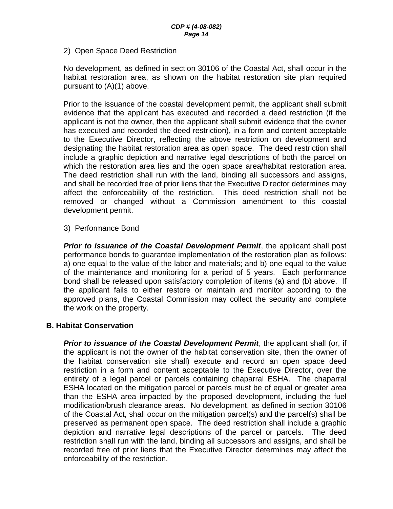2) Open Space Deed Restriction

No development, as defined in section 30106 of the Coastal Act, shall occur in the habitat restoration area, as shown on the habitat restoration site plan required pursuant to (A)(1) above.

Prior to the issuance of the coastal development permit, the applicant shall submit evidence that the applicant has executed and recorded a deed restriction (if the applicant is not the owner, then the applicant shall submit evidence that the owner has executed and recorded the deed restriction), in a form and content acceptable to the Executive Director, reflecting the above restriction on development and designating the habitat restoration area as open space. The deed restriction shall include a graphic depiction and narrative legal descriptions of both the parcel on which the restoration area lies and the open space area/habitat restoration area. The deed restriction shall run with the land, binding all successors and assigns, and shall be recorded free of prior liens that the Executive Director determines may affect the enforceability of the restriction. This deed restriction shall not be removed or changed without a Commission amendment to this coastal development permit.

3) Performance Bond

*Prior to issuance of the Coastal Development Permit*, the applicant shall post performance bonds to guarantee implementation of the restoration plan as follows: a) one equal to the value of the labor and materials; and b) one equal to the value of the maintenance and monitoring for a period of 5 years. Each performance bond shall be released upon satisfactory completion of items (a) and (b) above. If the applicant fails to either restore or maintain and monitor according to the approved plans, the Coastal Commission may collect the security and complete the work on the property.

#### **B. Habitat Conservation**

*Prior to issuance of the Coastal Development Permit*, the applicant shall (or, if the applicant is not the owner of the habitat conservation site, then the owner of the habitat conservation site shall) execute and record an open space deed restriction in a form and content acceptable to the Executive Director, over the entirety of a legal parcel or parcels containing chaparral ESHA. The chaparral ESHA located on the mitigation parcel or parcels must be of equal or greater area than the ESHA area impacted by the proposed development, including the fuel modification/brush clearance areas. No development, as defined in section 30106 of the Coastal Act, shall occur on the mitigation parcel(s) and the parcel(s) shall be preserved as permanent open space. The deed restriction shall include a graphic depiction and narrative legal descriptions of the parcel or parcels. The deed restriction shall run with the land, binding all successors and assigns, and shall be recorded free of prior liens that the Executive Director determines may affect the enforceability of the restriction.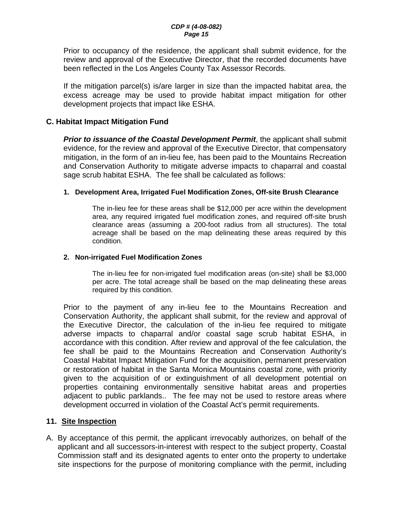<span id="page-14-0"></span>Prior to occupancy of the residence, the applicant shall submit evidence, for the review and approval of the Executive Director, that the recorded documents have been reflected in the Los Angeles County Tax Assessor Records.

If the mitigation parcel(s) is/are larger in size than the impacted habitat area, the excess acreage may be used to provide habitat impact mitigation for other development projects that impact like ESHA.

#### **C. Habitat Impact Mitigation Fund**

*Prior to issuance of the Coastal Development Permit*, the applicant shall submit evidence, for the review and approval of the Executive Director, that compensatory mitigation, in the form of an in-lieu fee, has been paid to the Mountains Recreation and Conservation Authority to mitigate adverse impacts to chaparral and coastal sage scrub habitat ESHA. The fee shall be calculated as follows:

#### **1. Development Area, Irrigated Fuel Modification Zones, Off-site Brush Clearance**

The in-lieu fee for these areas shall be \$12,000 per acre within the development area, any required irrigated fuel modification zones, and required off-site brush clearance areas (assuming a 200-foot radius from all structures). The total acreage shall be based on the map delineating these areas required by this condition.

#### **2. Non-irrigated Fuel Modification Zones**

The in-lieu fee for non-irrigated fuel modification areas (on-site) shall be \$3,000 per acre. The total acreage shall be based on the map delineating these areas required by this condition.

Prior to the payment of any in-lieu fee to the Mountains Recreation and Conservation Authority, the applicant shall submit, for the review and approval of the Executive Director, the calculation of the in-lieu fee required to mitigate adverse impacts to chaparral and/or coastal sage scrub habitat ESHA, in accordance with this condition. After review and approval of the fee calculation, the fee shall be paid to the Mountains Recreation and Conservation Authority's Coastal Habitat Impact Mitigation Fund for the acquisition, permanent preservation or restoration of habitat in the Santa Monica Mountains coastal zone, with priority given to the acquisition of or extinguishment of all development potential on properties containing environmentally sensitive habitat areas and properties adjacent to public parklands.. The fee may not be used to restore areas where development occurred in violation of the Coastal Act's permit requirements.

#### **11. Site Inspection**

A. By acceptance of this permit, the applicant irrevocably authorizes, on behalf of the applicant and all successors-in-interest with respect to the subject property, Coastal Commission staff and its designated agents to enter onto the property to undertake site inspections for the purpose of monitoring compliance with the permit, including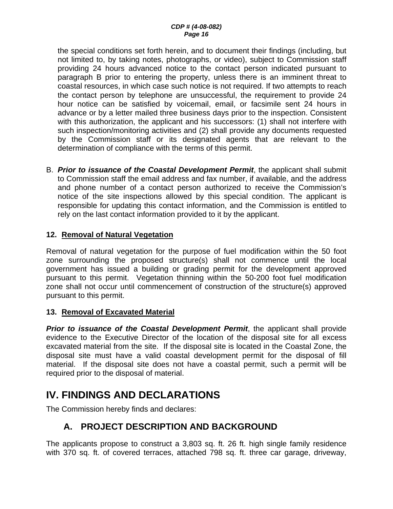<span id="page-15-0"></span>the special conditions set forth herein, and to document their findings (including, but not limited to, by taking notes, photographs, or video), subject to Commission staff providing 24 hours advanced notice to the contact person indicated pursuant to paragraph B prior to entering the property, unless there is an imminent threat to coastal resources, in which case such notice is not required. If two attempts to reach the contact person by telephone are unsuccessful, the requirement to provide 24 hour notice can be satisfied by voicemail, email, or facsimile sent 24 hours in advance or by a letter mailed three business days prior to the inspection. Consistent with this authorization, the applicant and his successors: (1) shall not interfere with such inspection/monitoring activities and (2) shall provide any documents requested by the Commission staff or its designated agents that are relevant to the determination of compliance with the terms of this permit.

B. *Prior to issuance of the Coastal Development Permit*, the applicant shall submit to Commission staff the email address and fax number, if available, and the address and phone number of a contact person authorized to receive the Commission's notice of the site inspections allowed by this special condition. The applicant is responsible for updating this contact information, and the Commission is entitled to rely on the last contact information provided to it by the applicant.

#### **12. Removal of Natural Vegetation**

Removal of natural vegetation for the purpose of fuel modification within the 50 foot zone surrounding the proposed structure(s) shall not commence until the local government has issued a building or grading permit for the development approved pursuant to this permit. Vegetation thinning within the 50-200 foot fuel modification zone shall not occur until commencement of construction of the structure(s) approved pursuant to this permit.

#### **13. Removal of Excavated Material**

**Prior to issuance of the Coastal Development Permit**, the applicant shall provide evidence to the Executive Director of the location of the disposal site for all excess excavated material from the site. If the disposal site is located in the Coastal Zone, the disposal site must have a valid coastal development permit for the disposal of fill material. If the disposal site does not have a coastal permit, such a permit will be required prior to the disposal of material.

# **IV. FINDINGS AND DECLARATIONS**

The Commission hereby finds and declares:

## **A. PROJECT DESCRIPTION AND BACKGROUND**

The applicants propose to construct a 3,803 sq. ft. 26 ft. high single family residence with 370 sq. ft. of covered terraces, attached 798 sq. ft. three car garage, driveway,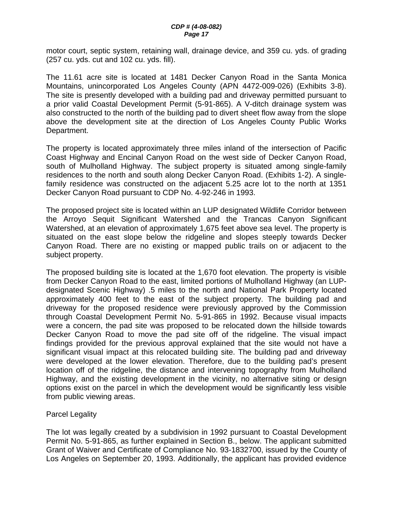motor court, septic system, retaining wall, drainage device, and 359 cu. yds. of grading (257 cu. yds. cut and 102 cu. yds. fill).

The 11.61 acre site is located at 1481 Decker Canyon Road in the Santa Monica Mountains, unincorporated Los Angeles County (APN 4472-009-026) (Exhibits 3-8). The site is presently developed with a building pad and driveway permitted pursuant to a prior valid Coastal Development Permit (5-91-865). A V-ditch drainage system was also constructed to the north of the building pad to divert sheet flow away from the slope above the development site at the direction of Los Angeles County Public Works Department.

The property is located approximately three miles inland of the intersection of Pacific Coast Highway and Encinal Canyon Road on the west side of Decker Canyon Road, south of Mulholland Highway. The subject property is situated among single-family residences to the north and south along Decker Canyon Road. (Exhibits 1-2). A singlefamily residence was constructed on the adjacent 5.25 acre lot to the north at 1351 Decker Canyon Road pursuant to CDP No. 4-92-246 in 1993.

The proposed project site is located within an LUP designated Wildlife Corridor between the Arroyo Sequit Significant Watershed and the Trancas Canyon Significant Watershed, at an elevation of approximately 1,675 feet above sea level. The property is situated on the east slope below the ridgeline and slopes steeply towards Decker Canyon Road. There are no existing or mapped public trails on or adjacent to the subject property.

The proposed building site is located at the 1,670 foot elevation. The property is visible from Decker Canyon Road to the east, limited portions of Mulholland Highway (an LUPdesignated Scenic Highway) .5 miles to the north and National Park Property located approximately 400 feet to the east of the subject property. The building pad and driveway for the proposed residence were previously approved by the Commission through Coastal Development Permit No. 5-91-865 in 1992. Because visual impacts were a concern, the pad site was proposed to be relocated down the hillside towards Decker Canyon Road to move the pad site off of the ridgeline. The visual impact findings provided for the previous approval explained that the site would not have a significant visual impact at this relocated building site. The building pad and driveway were developed at the lower elevation. Therefore, due to the building pad's present location off of the ridgeline, the distance and intervening topography from Mulholland Highway, and the existing development in the vicinity, no alternative siting or design options exist on the parcel in which the development would be significantly less visible from public viewing areas.

#### Parcel Legality

The lot was legally created by a subdivision in 1992 pursuant to Coastal Development Permit No. 5-91-865, as further explained in Section B., below. The applicant submitted Grant of Waiver and Certificate of Compliance No. 93-1832700, issued by the County of Los Angeles on September 20, 1993. Additionally, the applicant has provided evidence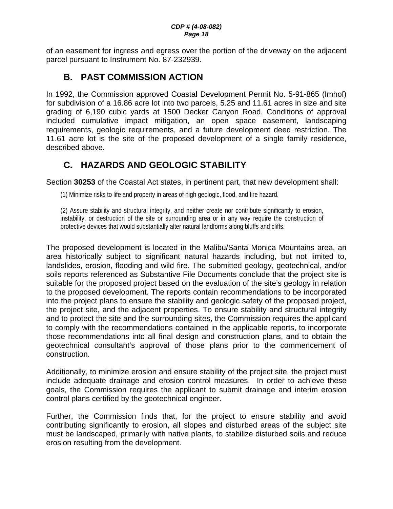<span id="page-17-0"></span>of an easement for ingress and egress over the portion of the driveway on the adjacent parcel pursuant to Instrument No. 87-232939.

# **B. PAST COMMISSION ACTION**

In 1992, the Commission approved Coastal Development Permit No. 5-91-865 (Imhof) for subdivision of a 16.86 acre lot into two parcels, 5.25 and 11.61 acres in size and site grading of 6,190 cubic yards at 1500 Decker Canyon Road. Conditions of approval included cumulative impact mitigation, an open space easement, landscaping requirements, geologic requirements, and a future development deed restriction. The 11.61 acre lot is the site of the proposed development of a single family residence, described above.

## **C. HAZARDS AND GEOLOGIC STABILITY**

Section **30253** of the Coastal Act states, in pertinent part, that new development shall:

(1) Minimize risks to life and property in areas of high geologic, flood, and fire hazard.

(2) Assure stability and structural integrity, and neither create nor contribute significantly to erosion, instability, or destruction of the site or surrounding area or in any way require the construction of protective devices that would substantially alter natural landforms along bluffs and cliffs.

The proposed development is located in the Malibu/Santa Monica Mountains area, an area historically subject to significant natural hazards including, but not limited to, landslides, erosion, flooding and wild fire. The submitted geology, geotechnical, and/or soils reports referenced as Substantive File Documents conclude that the project site is suitable for the proposed project based on the evaluation of the site's geology in relation to the proposed development. The reports contain recommendations to be incorporated into the project plans to ensure the stability and geologic safety of the proposed project, the project site, and the adjacent properties. To ensure stability and structural integrity and to protect the site and the surrounding sites, the Commission requires the applicant to comply with the recommendations contained in the applicable reports, to incorporate those recommendations into all final design and construction plans, and to obtain the geotechnical consultant's approval of those plans prior to the commencement of construction.

Additionally, to minimize erosion and ensure stability of the project site, the project must include adequate drainage and erosion control measures. In order to achieve these goals, the Commission requires the applicant to submit drainage and interim erosion control plans certified by the geotechnical engineer.

Further, the Commission finds that, for the project to ensure stability and avoid contributing significantly to erosion, all slopes and disturbed areas of the subject site must be landscaped, primarily with native plants, to stabilize disturbed soils and reduce erosion resulting from the development.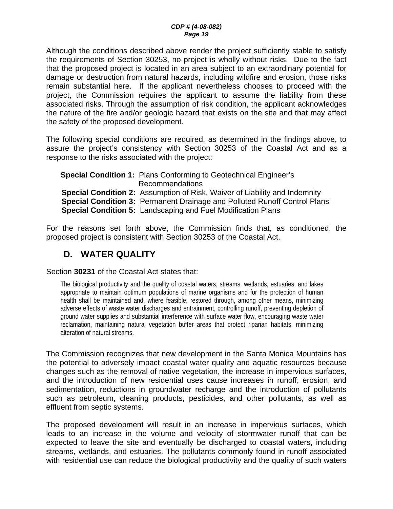<span id="page-18-0"></span>Although the conditions described above render the project sufficiently stable to satisfy the requirements of Section 30253, no project is wholly without risks. Due to the fact that the proposed project is located in an area subject to an extraordinary potential for damage or destruction from natural hazards, including wildfire and erosion, those risks remain substantial here. If the applicant nevertheless chooses to proceed with the project, the Commission requires the applicant to assume the liability from these associated risks. Through the assumption of risk condition, the applicant acknowledges the nature of the fire and/or geologic hazard that exists on the site and that may affect the safety of the proposed development.

The following special conditions are required, as determined in the findings above, to assure the project's consistency with Section 30253 of the Coastal Act and as a response to the risks associated with the project:

**Special Condition 1:** Plans Conforming to Geotechnical Engineer's Recommendations **Special Condition 2:** Assumption of Risk, Waiver of Liability and Indemnity **Special Condition 3:** Permanent Drainage and Polluted Runoff Control Plans **Special Condition 5:** Landscaping and Fuel Modification Plans

For the reasons set forth above, the Commission finds that, as conditioned, the proposed project is consistent with Section 30253 of the Coastal Act.

## **D. WATER QUALITY**

Section **30231** of the Coastal Act states that:

The biological productivity and the quality of coastal waters, streams, wetlands, estuaries, and lakes appropriate to maintain optimum populations of marine organisms and for the protection of human health shall be maintained and, where feasible, restored through, among other means, minimizing adverse effects of waste water discharges and entrainment, controlling runoff, preventing depletion of ground water supplies and substantial interference with surface water flow, encouraging waste water reclamation, maintaining natural vegetation buffer areas that protect riparian habitats, minimizing alteration of natural streams.

The Commission recognizes that new development in the Santa Monica Mountains has the potential to adversely impact coastal water quality and aquatic resources because changes such as the removal of native vegetation, the increase in impervious surfaces, and the introduction of new residential uses cause increases in runoff, erosion, and sedimentation, reductions in groundwater recharge and the introduction of pollutants such as petroleum, cleaning products, pesticides, and other pollutants, as well as effluent from septic systems.

The proposed development will result in an increase in impervious surfaces, which leads to an increase in the volume and velocity of stormwater runoff that can be expected to leave the site and eventually be discharged to coastal waters, including streams, wetlands, and estuaries. The pollutants commonly found in runoff associated with residential use can reduce the biological productivity and the quality of such waters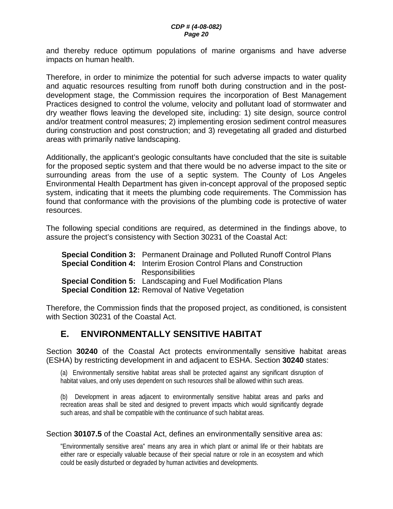<span id="page-19-0"></span>and thereby reduce optimum populations of marine organisms and have adverse impacts on human health.

Therefore, in order to minimize the potential for such adverse impacts to water quality and aquatic resources resulting from runoff both during construction and in the postdevelopment stage, the Commission requires the incorporation of Best Management Practices designed to control the volume, velocity and pollutant load of stormwater and dry weather flows leaving the developed site, including: 1) site design, source control and/or treatment control measures; 2) implementing erosion sediment control measures during construction and post construction; and 3) revegetating all graded and disturbed areas with primarily native landscaping.

Additionally, the applicant's geologic consultants have concluded that the site is suitable for the proposed septic system and that there would be no adverse impact to the site or surrounding areas from the use of a septic system. The County of Los Angeles Environmental Health Department has given in-concept approval of the proposed septic system, indicating that it meets the plumbing code requirements. The Commission has found that conformance with the provisions of the plumbing code is protective of water resources.

The following special conditions are required, as determined in the findings above, to assure the project's consistency with Section 30231 of the Coastal Act:

| <b>Special Condition 3:</b> Permanent Drainage and Polluted Runoff Control Plans |
|----------------------------------------------------------------------------------|
| <b>Special Condition 4:</b> Interim Erosion Control Plans and Construction       |
| <b>Responsibilities</b>                                                          |
| <b>Special Condition 5:</b> Landscaping and Fuel Modification Plans              |
| <b>Special Condition 12: Removal of Native Vegetation</b>                        |

Therefore, the Commission finds that the proposed project, as conditioned, is consistent with Section 30231 of the Coastal Act.

## **E. ENVIRONMENTALLY SENSITIVE HABITAT**

Section **30240** of the Coastal Act protects environmentally sensitive habitat areas (ESHA) by restricting development in and adjacent to ESHA. Section **30240** states:

(a) Environmentally sensitive habitat areas shall be protected against any significant disruption of habitat values, and only uses dependent on such resources shall be allowed within such areas.

(b) Development in areas adjacent to environmentally sensitive habitat areas and parks and recreation areas shall be sited and designed to prevent impacts which would significantly degrade such areas, and shall be compatible with the continuance of such habitat areas.

#### Section **30107.5** of the Coastal Act, defines an environmentally sensitive area as:

"Environmentally sensitive area" means any area in which plant or animal life or their habitats are either rare or especially valuable because of their special nature or role in an ecosystem and which could be easily disturbed or degraded by human activities and developments.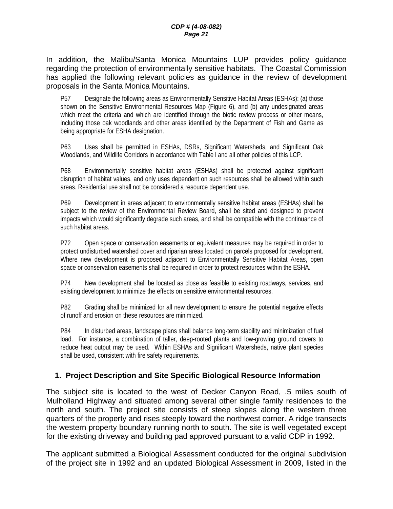In addition, the Malibu/Santa Monica Mountains LUP provides policy guidance regarding the protection of environmentally sensitive habitats. The Coastal Commission has applied the following relevant policies as guidance in the review of development proposals in the Santa Monica Mountains.

P57 Designate the following areas as Environmentally Sensitive Habitat Areas (ESHAs): (a) those shown on the Sensitive Environmental Resources Map (Figure 6), and (b) any undesignated areas which meet the criteria and which are identified through the biotic review process or other means, including those oak woodlands and other areas identified by the Department of Fish and Game as being appropriate for ESHA designation.

P63 Uses shall be permitted in ESHAs, DSRs, Significant Watersheds, and Significant Oak Woodlands, and Wildlife Corridors in accordance with Table l and all other policies of this LCP.

P68 Environmentally sensitive habitat areas (ESHAs) shall be protected against significant disruption of habitat values, and only uses dependent on such resources shall be allowed within such areas. Residential use shall not be considered a resource dependent use.

P69 Development in areas adjacent to environmentally sensitive habitat areas (ESHAs) shall be subject to the review of the Environmental Review Board, shall be sited and designed to prevent impacts which would significantly degrade such areas, and shall be compatible with the continuance of such habitat areas.

P72 Open space or conservation easements or equivalent measures may be required in order to protect undisturbed watershed cover and riparian areas located on parcels proposed for development. Where new development is proposed adjacent to Environmentally Sensitive Habitat Areas, open space or conservation easements shall be required in order to protect resources within the ESHA.

P74 New development shall be located as close as feasible to existing roadways, services, and existing development to minimize the effects on sensitive environmental resources.

P82 Grading shall be minimized for all new development to ensure the potential negative effects of runoff and erosion on these resources are minimized.

P84 In disturbed areas, landscape plans shall balance long-term stability and minimization of fuel load. For instance, a combination of taller, deep-rooted plants and low-growing ground covers to reduce heat output may be used. Within ESHAs and Significant Watersheds, native plant species shall be used, consistent with fire safety requirements.

#### **1. Project Description and Site Specific Biological Resource Information**

The subject site is located to the west of Decker Canyon Road, .5 miles south of Mulholland Highway and situated among several other single family residences to the north and south. The project site consists of steep slopes along the western three quarters of the property and rises steeply toward the northwest corner. A ridge transects the western property boundary running north to south. The site is well vegetated except for the existing driveway and building pad approved pursuant to a valid CDP in 1992.

The applicant submitted a Biological Assessment conducted for the original subdivision of the project site in 1992 and an updated Biological Assessment in 2009, listed in the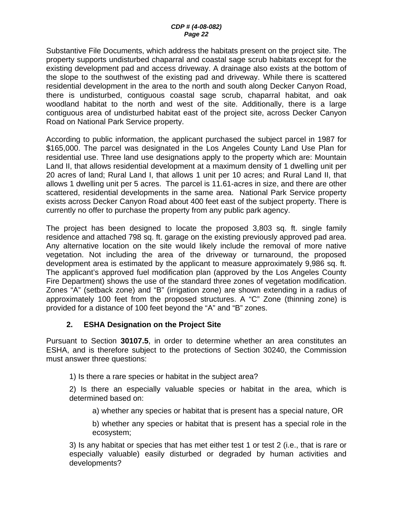#### *CDP # (4-08-082) Page 22*

Substantive File Documents, which address the habitats present on the project site. The property supports undisturbed chaparral and coastal sage scrub habitats except for the existing development pad and access driveway. A drainage also exists at the bottom of the slope to the southwest of the existing pad and driveway. While there is scattered residential development in the area to the north and south along Decker Canyon Road, there is undisturbed, contiguous coastal sage scrub, chaparral habitat, and oak woodland habitat to the north and west of the site. Additionally, there is a large contiguous area of undisturbed habitat east of the project site, across Decker Canyon Road on National Park Service property.

According to public information, the applicant purchased the subject parcel in 1987 for \$165,000. The parcel was designated in the Los Angeles County Land Use Plan for residential use. Three land use designations apply to the property which are: Mountain Land II, that allows residential development at a maximum density of 1 dwelling unit per 20 acres of land; Rural Land I, that allows 1 unit per 10 acres; and Rural Land II, that allows 1 dwelling unit per 5 acres. The parcel is 11.61-acres in size, and there are other scattered, residential developments in the same area. National Park Service property exists across Decker Canyon Road about 400 feet east of the subject property. There is currently no offer to purchase the property from any public park agency.

The project has been designed to locate the proposed 3,803 sq. ft. single family residence and attached 798 sq. ft. garage on the existing previously approved pad area. Any alternative location on the site would likely include the removal of more native vegetation. Not including the area of the driveway or turnaround, the proposed development area is estimated by the applicant to measure approximately 9,986 sq. ft. The applicant's approved fuel modification plan (approved by the Los Angeles County Fire Department) shows the use of the standard three zones of vegetation modification. Zones "A" (setback zone) and "B" (irrigation zone) are shown extending in a radius of approximately 100 feet from the proposed structures. A "C" Zone (thinning zone) is provided for a distance of 100 feet beyond the "A" and "B" zones.

#### **2. ESHA Designation on the Project Site**

Pursuant to Section **30107.5**, in order to determine whether an area constitutes an ESHA, and is therefore subject to the protections of Section 30240, the Commission must answer three questions:

1) Is there a rare species or habitat in the subject area?

2) Is there an especially valuable species or habitat in the area, which is determined based on:

a) whether any species or habitat that is present has a special nature, OR

b) whether any species or habitat that is present has a special role in the ecosystem;

3) Is any habitat or species that has met either test 1 or test 2 (i.e., that is rare or especially valuable) easily disturbed or degraded by human activities and developments?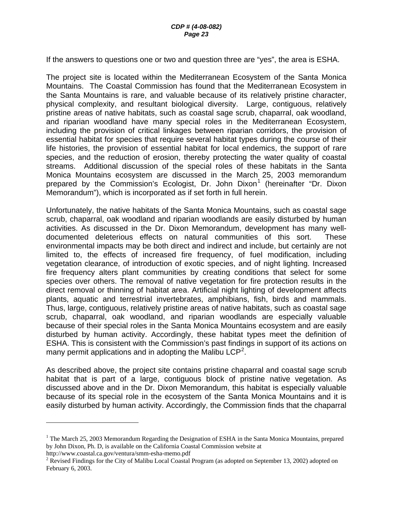If the answers to questions one or two and question three are "yes", the area is ESHA.

The project site is located within the Mediterranean Ecosystem of the Santa Monica Mountains. The Coastal Commission has found that the Mediterranean Ecosystem in the Santa Mountains is rare, and valuable because of its relatively pristine character, physical complexity, and resultant biological diversity. Large, contiguous, relatively pristine areas of native habitats, such as coastal sage scrub, chaparral, oak woodland, and riparian woodland have many special roles in the Mediterranean Ecosystem, including the provision of critical linkages between riparian corridors, the provision of essential habitat for species that require several habitat types during the course of their life histories, the provision of essential habitat for local endemics, the support of rare species, and the reduction of erosion, thereby protecting the water quality of coastal streams. Additional discussion of the special roles of these habitats in the Santa Monica Mountains ecosystem are discussed in the March 25, 2003 memorandum prepared by the Commission's Ecologist, Dr. John Dixon<sup>[1](#page-22-0)</sup> (hereinafter "Dr. Dixon Memorandum"), which is incorporated as if set forth in full herein.

Unfortunately, the native habitats of the Santa Monica Mountains, such as coastal sage scrub, chaparral, oak woodland and riparian woodlands are easily disturbed by human activities. As discussed in the Dr. Dixon Memorandum, development has many welldocumented deleterious effects on natural communities of this sort. These environmental impacts may be both direct and indirect and include, but certainly are not limited to, the effects of increased fire frequency, of fuel modification, including vegetation clearance, of introduction of exotic species, and of night lighting. Increased fire frequency alters plant communities by creating conditions that select for some species over others. The removal of native vegetation for fire protection results in the direct removal or thinning of habitat area. Artificial night lighting of development affects plants, aquatic and terrestrial invertebrates, amphibians, fish, birds and mammals. Thus, large, contiguous, relatively pristine areas of native habitats, such as coastal sage scrub, chaparral, oak woodland, and riparian woodlands are especially valuable because of their special roles in the Santa Monica Mountains ecosystem and are easily disturbed by human activity. Accordingly, these habitat types meet the definition of ESHA. This is consistent with the Commission's past findings in support of its actions on many permit applications and in adopting the Malibu LCP<sup>[2](#page-22-1)</sup>.

As described above, the project site contains pristine chaparral and coastal sage scrub habitat that is part of a large, contiguous block of pristine native vegetation. As discussed above and in the Dr. Dixon Memorandum, this habitat is especially valuable because of its special role in the ecosystem of the Santa Monica Mountains and it is easily disturbed by human activity. Accordingly, the Commission finds that the chaparral

http://www.coastal.ca.gov/ventura/smm-esha-memo.pdf

 $\overline{a}$ 

<span id="page-22-0"></span><sup>&</sup>lt;sup>1</sup> The March 25, 2003 Memorandum Regarding the Designation of ESHA in the Santa Monica Mountains, prepared by John Dixon, Ph. D, is available on the California Coastal Commission website at

<span id="page-22-1"></span><sup>&</sup>lt;sup>2</sup> Revised Findings for the City of Malibu Local Coastal Program (as adopted on September 13, 2002) adopted on February 6, 2003.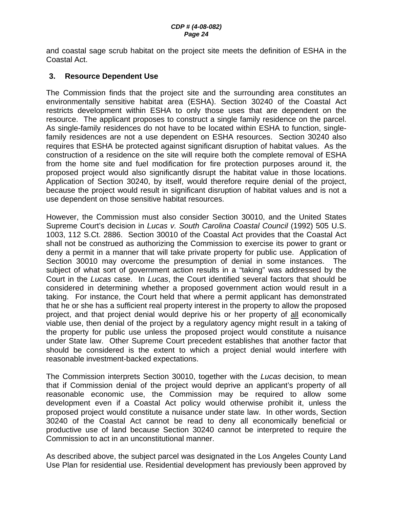and coastal sage scrub habitat on the project site meets the definition of ESHA in the Coastal Act.

#### **3. Resource Dependent Use**

The Commission finds that the project site and the surrounding area constitutes an environmentally sensitive habitat area (ESHA). Section 30240 of the Coastal Act restricts development within ESHA to only those uses that are dependent on the resource. The applicant proposes to construct a single family residence on the parcel. As single-family residences do not have to be located within ESHA to function, singlefamily residences are not a use dependent on ESHA resources. Section 30240 also requires that ESHA be protected against significant disruption of habitat values. As the construction of a residence on the site will require both the complete removal of ESHA from the home site and fuel modification for fire protection purposes around it, the proposed project would also significantly disrupt the habitat value in those locations. Application of Section 30240, by itself, would therefore require denial of the project, because the project would result in significant disruption of habitat values and is not a use dependent on those sensitive habitat resources.

However, the Commission must also consider Section 30010, and the United States Supreme Court's decision in *Lucas v. South Carolina Coastal Council* (1992) 505 U.S. 1003, 112 S.Ct. 2886. Section 30010 of the Coastal Act provides that the Coastal Act shall not be construed as authorizing the Commission to exercise its power to grant or deny a permit in a manner that will take private property for public use. Application of Section 30010 may overcome the presumption of denial in some instances. The subject of what sort of government action results in a "taking" was addressed by the Court in the *Lucas* case. In *Lucas*, the Court identified several factors that should be considered in determining whether a proposed government action would result in a taking. For instance, the Court held that where a permit applicant has demonstrated that he or she has a sufficient real property interest in the property to allow the proposed project, and that project denial would deprive his or her property of all economically viable use, then denial of the project by a regulatory agency might result in a taking of the property for public use unless the proposed project would constitute a nuisance under State law. Other Supreme Court precedent establishes that another factor that should be considered is the extent to which a project denial would interfere with reasonable investment-backed expectations.

The Commission interprets Section 30010, together with the *Lucas* decision, to mean that if Commission denial of the project would deprive an applicant's property of all reasonable economic use, the Commission may be required to allow some development even if a Coastal Act policy would otherwise prohibit it, unless the proposed project would constitute a nuisance under state law. In other words, Section 30240 of the Coastal Act cannot be read to deny all economically beneficial or productive use of land because Section 30240 cannot be interpreted to require the Commission to act in an unconstitutional manner.

As described above, the subject parcel was designated in the Los Angeles County Land Use Plan for residential use. Residential development has previously been approved by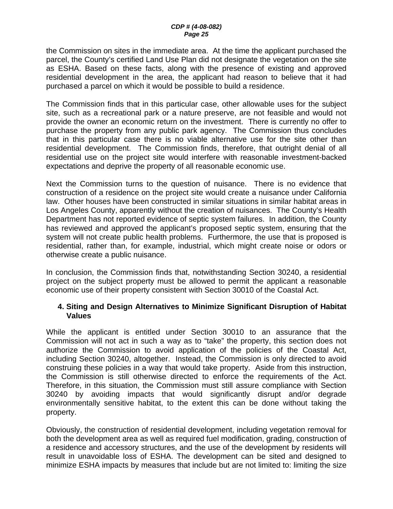the Commission on sites in the immediate area. At the time the applicant purchased the parcel, the County's certified Land Use Plan did not designate the vegetation on the site as ESHA. Based on these facts, along with the presence of existing and approved residential development in the area, the applicant had reason to believe that it had purchased a parcel on which it would be possible to build a residence.

The Commission finds that in this particular case, other allowable uses for the subject site, such as a recreational park or a nature preserve, are not feasible and would not provide the owner an economic return on the investment. There is currently no offer to purchase the property from any public park agency. The Commission thus concludes that in this particular case there is no viable alternative use for the site other than residential development. The Commission finds, therefore, that outright denial of all residential use on the project site would interfere with reasonable investment-backed expectations and deprive the property of all reasonable economic use.

Next the Commission turns to the question of nuisance. There is no evidence that construction of a residence on the project site would create a nuisance under California law. Other houses have been constructed in similar situations in similar habitat areas in Los Angeles County, apparently without the creation of nuisances. The County's Health Department has not reported evidence of septic system failures. In addition, the County has reviewed and approved the applicant's proposed septic system, ensuring that the system will not create public health problems. Furthermore, the use that is proposed is residential, rather than, for example, industrial, which might create noise or odors or otherwise create a public nuisance.

In conclusion, the Commission finds that, notwithstanding Section 30240, a residential project on the subject property must be allowed to permit the applicant a reasonable economic use of their property consistent with Section 30010 of the Coastal Act.

#### **4. Siting and Design Alternatives to Minimize Significant Disruption of Habitat Values**

While the applicant is entitled under Section 30010 to an assurance that the Commission will not act in such a way as to "take" the property, this section does not authorize the Commission to avoid application of the policies of the Coastal Act, including Section 30240, altogether. Instead, the Commission is only directed to avoid construing these policies in a way that would take property. Aside from this instruction, the Commission is still otherwise directed to enforce the requirements of the Act. Therefore, in this situation, the Commission must still assure compliance with Section 30240 by avoiding impacts that would significantly disrupt and/or degrade environmentally sensitive habitat, to the extent this can be done without taking the property.

Obviously, the construction of residential development, including vegetation removal for both the development area as well as required fuel modification, grading, construction of a residence and accessory structures, and the use of the development by residents will result in unavoidable loss of ESHA. The development can be sited and designed to minimize ESHA impacts by measures that include but are not limited to: limiting the size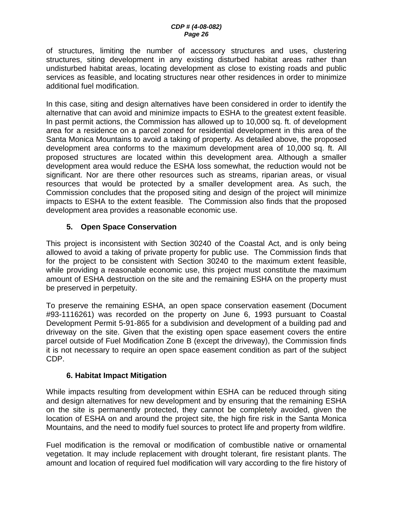of structures, limiting the number of accessory structures and uses, clustering structures, siting development in any existing disturbed habitat areas rather than undisturbed habitat areas, locating development as close to existing roads and public services as feasible, and locating structures near other residences in order to minimize additional fuel modification.

In this case, siting and design alternatives have been considered in order to identify the alternative that can avoid and minimize impacts to ESHA to the greatest extent feasible. In past permit actions, the Commission has allowed up to 10,000 sq. ft. of development area for a residence on a parcel zoned for residential development in this area of the Santa Monica Mountains to avoid a taking of property. As detailed above, the proposed development area conforms to the maximum development area of 10,000 sq. ft. All proposed structures are located within this development area. Although a smaller development area would reduce the ESHA loss somewhat, the reduction would not be significant. Nor are there other resources such as streams, riparian areas, or visual resources that would be protected by a smaller development area. As such, the Commission concludes that the proposed siting and design of the project will minimize impacts to ESHA to the extent feasible. The Commission also finds that the proposed development area provides a reasonable economic use.

#### **5. Open Space Conservation**

This project is inconsistent with Section 30240 of the Coastal Act, and is only being allowed to avoid a taking of private property for public use. The Commission finds that for the project to be consistent with Section 30240 to the maximum extent feasible, while providing a reasonable economic use, this project must constitute the maximum amount of ESHA destruction on the site and the remaining ESHA on the property must be preserved in perpetuity.

To preserve the remaining ESHA, an open space conservation easement (Document #93-1116261) was recorded on the property on June 6, 1993 pursuant to Coastal Development Permit 5-91-865 for a subdivision and development of a building pad and driveway on the site. Given that the existing open space easement covers the entire parcel outside of Fuel Modification Zone B (except the driveway), the Commission finds it is not necessary to require an open space easement condition as part of the subject CDP.

#### **6. Habitat Impact Mitigation**

While impacts resulting from development within ESHA can be reduced through siting and design alternatives for new development and by ensuring that the remaining ESHA on the site is permanently protected, they cannot be completely avoided, given the location of ESHA on and around the project site, the high fire risk in the Santa Monica Mountains, and the need to modify fuel sources to protect life and property from wildfire.

Fuel modification is the removal or modification of combustible native or ornamental vegetation. It may include replacement with drought tolerant, fire resistant plants. The amount and location of required fuel modification will vary according to the fire history of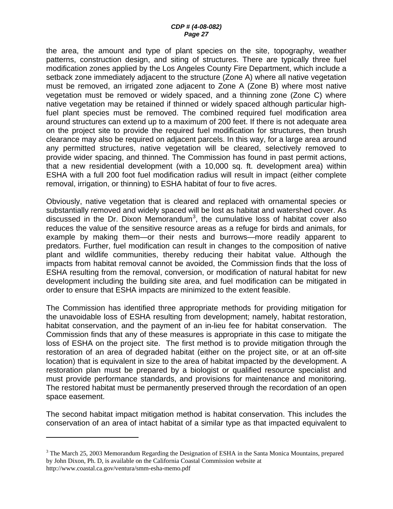the area, the amount and type of plant species on the site, topography, weather patterns, construction design, and siting of structures. There are typically three fuel modification zones applied by the Los Angeles County Fire Department, which include a setback zone immediately adjacent to the structure (Zone A) where all native vegetation must be removed, an irrigated zone adjacent to Zone A (Zone B) where most native vegetation must be removed or widely spaced, and a thinning zone (Zone C) where native vegetation may be retained if thinned or widely spaced although particular highfuel plant species must be removed. The combined required fuel modification area around structures can extend up to a maximum of 200 feet. If there is not adequate area on the project site to provide the required fuel modification for structures, then brush clearance may also be required on adjacent parcels. In this way, for a large area around any permitted structures, native vegetation will be cleared, selectively removed to provide wider spacing, and thinned. The Commission has found in past permit actions, that a new residential development (with a 10,000 sq. ft. development area) within ESHA with a full 200 foot fuel modification radius will result in impact (either complete removal, irrigation, or thinning) to ESHA habitat of four to five acres.

Obviously, native vegetation that is cleared and replaced with ornamental species or substantially removed and widely spaced will be lost as habitat and watershed cover. As discussed in the Dr. Dixon Memorandum<sup>[3](#page-26-0)</sup>, the cumulative loss of habitat cover also reduces the value of the sensitive resource areas as a refuge for birds and animals, for example by making them—or their nests and burrows—more readily apparent to predators. Further, fuel modification can result in changes to the composition of native plant and wildlife communities, thereby reducing their habitat value. Although the impacts from habitat removal cannot be avoided, the Commission finds that the loss of ESHA resulting from the removal, conversion, or modification of natural habitat for new development including the building site area, and fuel modification can be mitigated in order to ensure that ESHA impacts are minimized to the extent feasible.

The Commission has identified three appropriate methods for providing mitigation for the unavoidable loss of ESHA resulting from development; namely, habitat restoration, habitat conservation, and the payment of an in-lieu fee for habitat conservation. The Commission finds that any of these measures is appropriate in this case to mitigate the loss of ESHA on the project site. The first method is to provide mitigation through the restoration of an area of degraded habitat (either on the project site, or at an off-site location) that is equivalent in size to the area of habitat impacted by the development. A restoration plan must be prepared by a biologist or qualified resource specialist and must provide performance standards, and provisions for maintenance and monitoring. The restored habitat must be permanently preserved through the recordation of an open space easement.

The second habitat impact mitigation method is habitat conservation. This includes the conservation of an area of intact habitat of a similar type as that impacted equivalent to

 $\overline{a}$ 

<span id="page-26-0"></span> $3$  The March 25, 2003 Memorandum Regarding the Designation of ESHA in the Santa Monica Mountains, prepared by John Dixon, Ph. D, is available on the California Coastal Commission website at http://www.coastal.ca.gov/ventura/smm-esha-memo.pdf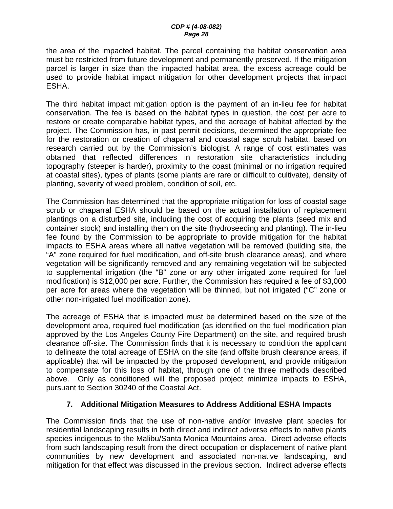the area of the impacted habitat. The parcel containing the habitat conservation area must be restricted from future development and permanently preserved. If the mitigation parcel is larger in size than the impacted habitat area, the excess acreage could be used to provide habitat impact mitigation for other development projects that impact ESHA.

The third habitat impact mitigation option is the payment of an in-lieu fee for habitat conservation. The fee is based on the habitat types in question, the cost per acre to restore or create comparable habitat types, and the acreage of habitat affected by the project. The Commission has, in past permit decisions, determined the appropriate fee for the restoration or creation of chaparral and coastal sage scrub habitat, based on research carried out by the Commission's biologist. A range of cost estimates was obtained that reflected differences in restoration site characteristics including topography (steeper is harder), proximity to the coast (minimal or no irrigation required at coastal sites), types of plants (some plants are rare or difficult to cultivate), density of planting, severity of weed problem, condition of soil, etc.

The Commission has determined that the appropriate mitigation for loss of coastal sage scrub or chaparral ESHA should be based on the actual installation of replacement plantings on a disturbed site, including the cost of acquiring the plants (seed mix and container stock) and installing them on the site (hydroseeding and planting). The in-lieu fee found by the Commission to be appropriate to provide mitigation for the habitat impacts to ESHA areas where all native vegetation will be removed (building site, the "A" zone required for fuel modification, and off-site brush clearance areas), and where vegetation will be significantly removed and any remaining vegetation will be subjected to supplemental irrigation (the "B" zone or any other irrigated zone required for fuel modification) is \$12,000 per acre. Further, the Commission has required a fee of \$3,000 per acre for areas where the vegetation will be thinned, but not irrigated ("C" zone or other non-irrigated fuel modification zone).

The acreage of ESHA that is impacted must be determined based on the size of the development area, required fuel modification (as identified on the fuel modification plan approved by the Los Angeles County Fire Department) on the site, and required brush clearance off-site. The Commission finds that it is necessary to condition the applicant to delineate the total acreage of ESHA on the site (and offsite brush clearance areas, if applicable) that will be impacted by the proposed development, and provide mitigation to compensate for this loss of habitat, through one of the three methods described above. Only as conditioned will the proposed project minimize impacts to ESHA, pursuant to Section 30240 of the Coastal Act.

#### **7. Additional Mitigation Measures to Address Additional ESHA Impacts**

The Commission finds that the use of non-native and/or invasive plant species for residential landscaping results in both direct and indirect adverse effects to native plants species indigenous to the Malibu/Santa Monica Mountains area. Direct adverse effects from such landscaping result from the direct occupation or displacement of native plant communities by new development and associated non-native landscaping, and mitigation for that effect was discussed in the previous section. Indirect adverse effects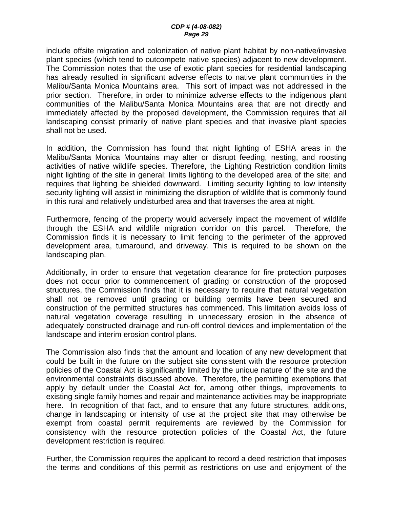#### *CDP # (4-08-082) Page 29*

include offsite migration and colonization of native plant habitat by non-native/invasive plant species (which tend to outcompete native species) adjacent to new development. The Commission notes that the use of exotic plant species for residential landscaping has already resulted in significant adverse effects to native plant communities in the Malibu/Santa Monica Mountains area. This sort of impact was not addressed in the prior section. Therefore, in order to minimize adverse effects to the indigenous plant communities of the Malibu/Santa Monica Mountains area that are not directly and immediately affected by the proposed development, the Commission requires that all landscaping consist primarily of native plant species and that invasive plant species shall not be used.

In addition, the Commission has found that night lighting of ESHA areas in the Malibu/Santa Monica Mountains may alter or disrupt feeding, nesting, and roosting activities of native wildlife species. Therefore, the Lighting Restriction condition limits night lighting of the site in general; limits lighting to the developed area of the site; and requires that lighting be shielded downward. Limiting security lighting to low intensity security lighting will assist in minimizing the disruption of wildlife that is commonly found in this rural and relatively undisturbed area and that traverses the area at night.

Furthermore, fencing of the property would adversely impact the movement of wildlife through the ESHA and wildlife migration corridor on this parcel. Therefore, the Commission finds it is necessary to limit fencing to the perimeter of the approved development area, turnaround, and driveway. This is required to be shown on the landscaping plan.

Additionally, in order to ensure that vegetation clearance for fire protection purposes does not occur prior to commencement of grading or construction of the proposed structures, the Commission finds that it is necessary to require that natural vegetation shall not be removed until grading or building permits have been secured and construction of the permitted structures has commenced. This limitation avoids loss of natural vegetation coverage resulting in unnecessary erosion in the absence of adequately constructed drainage and run-off control devices and implementation of the landscape and interim erosion control plans.

The Commission also finds that the amount and location of any new development that could be built in the future on the subject site consistent with the resource protection policies of the Coastal Act is significantly limited by the unique nature of the site and the environmental constraints discussed above. Therefore, the permitting exemptions that apply by default under the Coastal Act for, among other things, improvements to existing single family homes and repair and maintenance activities may be inappropriate here. In recognition of that fact, and to ensure that any future structures, additions, change in landscaping or intensity of use at the project site that may otherwise be exempt from coastal permit requirements are reviewed by the Commission for consistency with the resource protection policies of the Coastal Act, the future development restriction is required.

Further, the Commission requires the applicant to record a deed restriction that imposes the terms and conditions of this permit as restrictions on use and enjoyment of the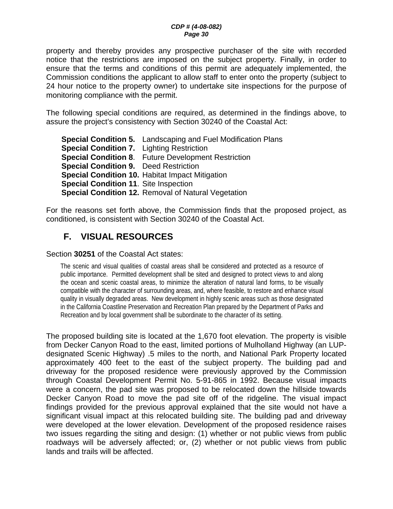<span id="page-29-0"></span>property and thereby provides any prospective purchaser of the site with recorded notice that the restrictions are imposed on the subject property. Finally, in order to ensure that the terms and conditions of this permit are adequately implemented, the Commission conditions the applicant to allow staff to enter onto the property (subject to 24 hour notice to the property owner) to undertake site inspections for the purpose of monitoring compliance with the permit.

The following special conditions are required, as determined in the findings above, to assure the project's consistency with Section 30240 of the Coastal Act:

**Special Condition 5.** Landscaping and Fuel Modification Plans **Special Condition 7.** Lighting Restriction **Special Condition 8**. Future Development Restriction **Special Condition 9.** Deed Restriction **Special Condition 10.** Habitat Impact Mitigation **Special Condition 11**. Site Inspection **Special Condition 12.** Removal of Natural Vegetation

For the reasons set forth above, the Commission finds that the proposed project, as conditioned, is consistent with Section 30240 of the Coastal Act.

# **F. VISUAL RESOURCES**

Section **30251** of the Coastal Act states:

The scenic and visual qualities of coastal areas shall be considered and protected as a resource of public importance. Permitted development shall be sited and designed to protect views to and along the ocean and scenic coastal areas, to minimize the alteration of natural land forms, to be visually compatible with the character of surrounding areas, and, where feasible, to restore and enhance visual quality in visually degraded areas. New development in highly scenic areas such as those designated in the California Coastline Preservation and Recreation Plan prepared by the Department of Parks and Recreation and by local government shall be subordinate to the character of its setting.

The proposed building site is located at the 1,670 foot elevation. The property is visible from Decker Canyon Road to the east, limited portions of Mulholland Highway (an LUPdesignated Scenic Highway) .5 miles to the north, and National Park Property located approximately 400 feet to the east of the subject property. The building pad and driveway for the proposed residence were previously approved by the Commission through Coastal Development Permit No. 5-91-865 in 1992. Because visual impacts were a concern, the pad site was proposed to be relocated down the hillside towards Decker Canyon Road to move the pad site off of the ridgeline. The visual impact findings provided for the previous approval explained that the site would not have a significant visual impact at this relocated building site. The building pad and driveway were developed at the lower elevation. Development of the proposed residence raises two issues regarding the siting and design: (1) whether or not public views from public roadways will be adversely affected; or, (2) whether or not public views from public lands and trails will be affected.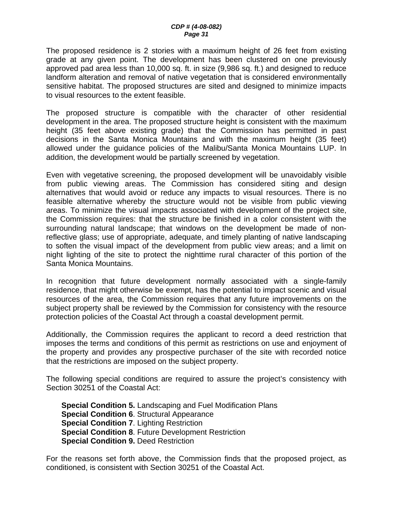The proposed residence is 2 stories with a maximum height of 26 feet from existing grade at any given point. The development has been clustered on one previously approved pad area less than 10,000 sq. ft. in size (9,986 sq. ft.) and designed to reduce landform alteration and removal of native vegetation that is considered environmentally sensitive habitat. The proposed structures are sited and designed to minimize impacts to visual resources to the extent feasible.

The proposed structure is compatible with the character of other residential development in the area. The proposed structure height is consistent with the maximum height (35 feet above existing grade) that the Commission has permitted in past decisions in the Santa Monica Mountains and with the maximum height (35 feet) allowed under the guidance policies of the Malibu/Santa Monica Mountains LUP. In addition, the development would be partially screened by vegetation.

Even with vegetative screening, the proposed development will be unavoidably visible from public viewing areas. The Commission has considered siting and design alternatives that would avoid or reduce any impacts to visual resources. There is no feasible alternative whereby the structure would not be visible from public viewing areas. To minimize the visual impacts associated with development of the project site, the Commission requires: that the structure be finished in a color consistent with the surrounding natural landscape; that windows on the development be made of nonreflective glass; use of appropriate, adequate, and timely planting of native landscaping to soften the visual impact of the development from public view areas; and a limit on night lighting of the site to protect the nighttime rural character of this portion of the Santa Monica Mountains.

In recognition that future development normally associated with a single-family residence, that might otherwise be exempt, has the potential to impact scenic and visual resources of the area, the Commission requires that any future improvements on the subject property shall be reviewed by the Commission for consistency with the resource protection policies of the Coastal Act through a coastal development permit.

Additionally, the Commission requires the applicant to record a deed restriction that imposes the terms and conditions of this permit as restrictions on use and enjoyment of the property and provides any prospective purchaser of the site with recorded notice that the restrictions are imposed on the subject property.

The following special conditions are required to assure the project's consistency with Section 30251 of the Coastal Act:

**Special Condition 5.** Landscaping and Fuel Modification Plans **Special Condition 6**. Structural Appearance **Special Condition 7**. Lighting Restriction **Special Condition 8**. Future Development Restriction **Special Condition 9.** Deed Restriction

For the reasons set forth above, the Commission finds that the proposed project, as conditioned, is consistent with Section 30251 of the Coastal Act.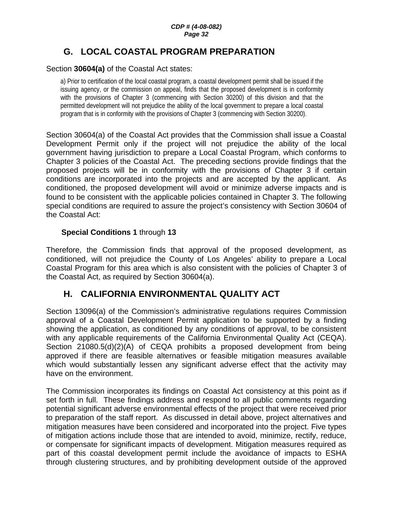#### *CDP # (4-08-082) Page 32*

# <span id="page-31-0"></span>**G. LOCAL COASTAL PROGRAM PREPARATION**

#### Section **30604(a)** of the Coastal Act states:

a) Prior to certification of the local coastal program, a coastal development permit shall be issued if the issuing agency, or the commission on appeal, finds that the proposed development is in conformity with the provisions of Chapter 3 (commencing with Section 30200) of this division and that the permitted development will not prejudice the ability of the local government to prepare a local coastal program that is in conformity with the provisions of Chapter 3 (commencing with Section 30200).

Section 30604(a) of the Coastal Act provides that the Commission shall issue a Coastal Development Permit only if the project will not prejudice the ability of the local government having jurisdiction to prepare a Local Coastal Program, which conforms to Chapter 3 policies of the Coastal Act. The preceding sections provide findings that the proposed projects will be in conformity with the provisions of Chapter 3 if certain conditions are incorporated into the projects and are accepted by the applicant. As conditioned, the proposed development will avoid or minimize adverse impacts and is found to be consistent with the applicable policies contained in Chapter 3. The following special conditions are required to assure the project's consistency with Section 30604 of the Coastal Act:

#### **Special Conditions 1** through **13**

Therefore, the Commission finds that approval of the proposed development, as conditioned, will not prejudice the County of Los Angeles' ability to prepare a Local Coastal Program for this area which is also consistent with the policies of Chapter 3 of the Coastal Act, as required by Section 30604(a).

## **H. CALIFORNIA ENVIRONMENTAL QUALITY ACT**

Section 13096(a) of the Commission's administrative regulations requires Commission approval of a Coastal Development Permit application to be supported by a finding showing the application, as conditioned by any conditions of approval, to be consistent with any applicable requirements of the California Environmental Quality Act (CEQA). Section 21080.5(d)(2)(A) of CEQA prohibits a proposed development from being approved if there are feasible alternatives or feasible mitigation measures available which would substantially lessen any significant adverse effect that the activity may have on the environment.

The Commission incorporates its findings on Coastal Act consistency at this point as if set forth in full. These findings address and respond to all public comments regarding potential significant adverse environmental effects of the project that were received prior to preparation of the staff report. As discussed in detail above, project alternatives and mitigation measures have been considered and incorporated into the project. Five types of mitigation actions include those that are intended to avoid, minimize, rectify, reduce, or compensate for significant impacts of development. Mitigation measures required as part of this coastal development permit include the avoidance of impacts to ESHA through clustering structures, and by prohibiting development outside of the approved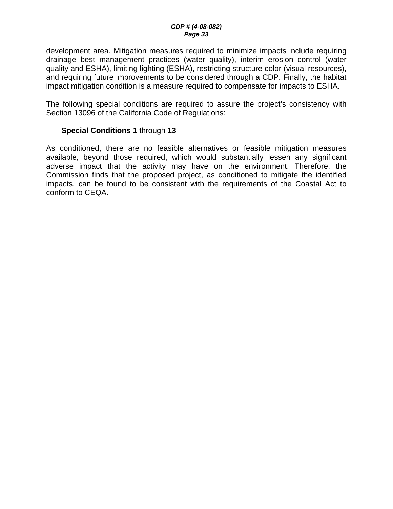development area. Mitigation measures required to minimize impacts include requiring drainage best management practices (water quality), interim erosion control (water quality and ESHA), limiting lighting (ESHA), restricting structure color (visual resources), and requiring future improvements to be considered through a CDP. Finally, the habitat impact mitigation condition is a measure required to compensate for impacts to ESHA.

The following special conditions are required to assure the project's consistency with Section 13096 of the California Code of Regulations:

#### **Special Conditions 1** through **13**

As conditioned, there are no feasible alternatives or feasible mitigation measures available, beyond those required, which would substantially lessen any significant adverse impact that the activity may have on the environment. Therefore, the Commission finds that the proposed project, as conditioned to mitigate the identified impacts, can be found to be consistent with the requirements of the Coastal Act to conform to CEQA.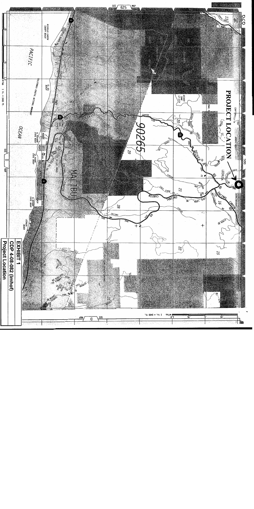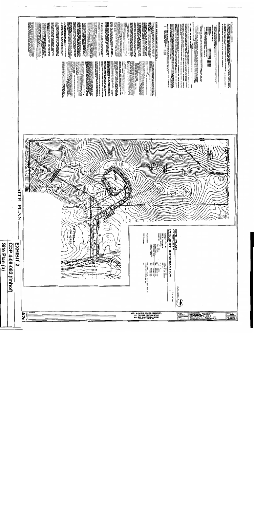|               |                                  |                                                     | FIRE DEPARTMENT NOTES<br>All companying representations in the<br>ALL DOMANGE TO BE OGRAPHIC ARAY PRAY DELINE AT 1999 PROPERTY 2. 1. YAN PERIOD I PARTITI TA DERINGE<br>A la property del property del property del property del property in the property of the property of a proper<br>Orien African<br><b>RAINAGE NOTES</b><br>$\mathcal{L}(\mathcal{D}, \mathcal{D}, \mathcal{D}, \mathcal{D}, \mathcal{D}, \mathcal{D})$ and the space of the space of the space of the space of the space of the space of the space of the space of the space of the space of the space of the space of the space of the<br><b>HARRAT OF</b><br>ENT DORRÉ HALL EN OFTWALE RORT THE WARDE UNION.<br>UNE OF A REY OR ANY WARDAL ROOM, EDGE OR EPOPU<br>and the state of the state of the state of the state of the state of the state of the state of the state of the state of the state of the state of the state of the state of the state of the state of the state of the state<br>קרים המקומיים שינוי המונחים במספר מאמרי<br>באסיפור את המשפחה המקומיים המקומיים של המקומיים המקומיים<br>באסיפור את המשפחה המקומיים המקומיים של המקומיים המקומיים<br>באסיפור המשפחה את המקומיים המקומיים המקומיים המקומיים המקומיים<br>$\begin{array}{c} \text{for } \mathbb{R} \\ \mathbb{R} \end{array}$<br>LY UTH TILLE 24, 1983) REGANDERED PREUMENDED UTH<br>The The Record Definitives during behalf de Hunde University<br>Ref Bucklup Aug Afrikacherichen<br>קור אותה אותה את המערכת האומית האופניה של האור האופניה האופניה האופניה האופניה האופניה האופניה האופניה האופניה<br>בין אופניה האופניה האופניה האופניה האופניה האופניה האופניה האופניה האופניה האופניה האופניה האופניה האופניה האו<br>E CRYMPING ACRIMANACH AM MARE OR DORAINN<br>SEAR SEACH CURTAIN INLE AR DE CHOIR SHÈIL<br>SEAR SEACH CURTAIN INLE AR DE CHOIR SHÈIL<br>LIER, PRES, RANZIA, MERRERARA OR (PRES)<br>ALA LINGUARI LOUREN A AL DRO DO DOBRER<br>ALA LINGUARI LOUREN A AL DRO DO DOBRER<br>ALA APROVID VON DI BRITARI OR KURK CORRADO<br>$\alpha$ and $\beta$ and $\beta$ and $\beta$ and $\beta$ and $\beta$ and $\beta$ and $\beta$ and $\beta$ and $\beta$ and $\beta$ and $\beta$ and $\beta$ and $\beta$ and $\beta$ and $\beta$ and $\beta$ and $\beta$ and $\beta$ and $\beta$ and $\beta$ and $\beta$ and $\beta$ and $\beta$ and $\beta$<br>THE CARD CORPORATION OF THE RESIDENCE OF THE RESIDENCE OF THE RESIDENCE OF THE RESIDENCE OF THE RESIDENCE OF THE RESIDENCE OF THE RESIDENCE OF THE RESIDENCE OF THE RESIDENCE OF THE RESIDENCE OF THE RESIDENCE OF THE RESIDEN<br>LEON ARRAIGNMENT DE DES DE CORES DE SACRADE UNIT.<br>LEON ARRAIGNMENT POR EXTERNEMENT DE CARDIAL<br>$\begin{array}{l} \mathcal{R}=\left\{ \begin{array}{ll} \mathcal{R}=\left\{ \begin{array}{ll} \mathcal{R}=\left\{ \begin{array}{ll} \mathcal{R}=\left\{ \begin{array}{ll} \mathcal{R}=\left\{ \begin{array}{ll} \mathcal{R}=\left\{ \begin{array}{ll} \mathcal{R}=\left\{ \begin{array}{ll} \mathcal{R}=\left\{ \begin{array}{ll} \mathcal{R}=\left\{ \begin{array}{ll} \mathcal{R}=\left\{ \begin{array}{ll} \mathcal{R}=\left\{ \begin{array}{ll} \mathcal{R}=\left\{ \begin{array}{ll} \mathcal{R}=\left\$<br>DORLER DEL DAMARE NALL TIE KIN PREVEN PREGRAMA ARDEO ETRICHIREA BALL DANN ABU VRIEGER<br>Service Del Baltimore Nall Tie Kin de Del Baltimore Ardeo anno 2002 etriche a del Carl Carl Dorler Armonio<br>Provident Port<br>provide private<br>Santa Control (Santa Control de Castro de Castro de Castro de Castro de Castro de Castro de Castro de Castro<br>Santa Castro de Castro de Castro de Castro de Castro de Castro de Castro de Castro de Castro de C<br><b>De Maria Maria (1982), estado a provincia de la francesa de la francesa de la francesa de la final de la franc<br/>A la francesa de la francesa de la francesa de la francesa de la francesa de la francesa de la francesa de la<br/></b><br><b>PARTICIPAL AREA PARAMENTAL PRODUCT PRODUCTS AND INTERNATIONAL PROPERTY AND INTERNATIONAL PROPERTY AND INTERNATIONAL PROPERTY AND INTERNATIONAL PROPERTY AND INTERNATIONAL PROPERTY AND INTERNATIONAL PROPERTY AND INTERNATION</b><br>APO CARRI ROSA ANNO CARRI AGREGA ANNO CARRI<br>2000 - Carri Carri II, ann an Carri agus an Carri ann an Carri ann an Carri ann an Carri ann an Carri ann an<br>2000 - Carri ann an Carri ann an Carri agus anns an Carri ann an Carr<br>E SLAZING MAY TEL OFFITED MEN THE OPENING FOR A<br>DATUM ON UNISH LINAT FORMAL A PART OF THE<br>DECOTA DELLONG LEBA THAN 160 60. NORDA<br>DEMOLITION NOTES<br>PORT DE CARA PARA DE LA PROPERTE COMPARA DE CARA DE CARA DE CARA DE CARA DE CARA DE CARA DE CARA DE CARA DE CA<br>2000 : Cara de Cara de Cara de Cara de Cara de Cara de Cara de Cara de Cara de Cara de Cara de Cara de Cara d<br>2<br><b>SHOW DNK</b><br>POME ARRAIGNE MEU LEI CAMETA DI HURTA<br>27 Martin Camera di Maria Camera di Maria<br>27 Martin Camera di Maria Camera Arrai<br>Arrett Camera Andream Andream Maria II<br>כולה איתו יותר איתו או מאוד המשפט האופן האופן האופן האופן האופן האופן האופן האופן האופן האופן האופן האופן האופן<br>האופן האופן האופן האופן האופן האופן האופן האופן האופן האופן האופן האופן האופן האופן האופן האופן האופן האופן ה<br>olulado MVI BRI omitico Monte Liberal Registrativa<br>Volta amb la Doutre Gallou Roan Francia Ce Milli<br>Er crist all'Europa<br>a Adolf Date Article & Article Contentries in the anticity of the state of the state of the state of the state of the state of the state of the state of the state of the state of the state of the state of the state of the<br>A FRANCH, MORRITHLEID 78' UED11 CLEAR TO THE<br>CLEAR ACCERD TO UTHA Net OF ALL PORTION OF<br>ROOR BALLA.<br>UML COVERRA'S TO THE OF PATERALS AFFREMENT.<br>- REBAINS CONTINUES IN ACCORDANCE WINTER.<br>CORE, APPROVED DR - HOUR COMPRETEN.<br>rano control (1984) cuproma annul Maria<br>1985 - Ann ann an Company ann an Change<br>1987 - Ann an Company ann an Change<br>1987 - Ann an Changer, ach<br>MALL DE FREE STORFED AT EANE BOOK CO FREELLOW.<br>NEW OF FLAME ON D'ESERN UNDER TILE EAC 6-4631<br>ZOREA DE CARTAS E ESTADO EN EL ARTERO DE ESTADO EN EL ESTADO EN EL ESTADO EN EL ESTADO EN EL ESTADO EL ESTADO<br>DE ARTER DE LA ESTADO EN EL ESTADO EN EL ESTADO EN EL ESTADO EL ESTADO EL ESTADO EL ESTADO EL ESTADO EL ESTADO<br><br>THEO TIME SUMMONS AND<br>î<br>UNLO FORESPO DE DEL CRISTIANO DE A DISCIPIO DEL PRODUCTION<br>OVER MORTER RESOLUCIÓN DE CONTRACTORIO DE PORTUGUES<br>OVER MORTER RESOLUCIÓN DE PRODUCTION DE CONTRACTORIO<br><b>FOOT CRETCATOR OF THE DEFANTISHT SPALLARS HERE</b><br>THEORETIC ARRESTED AND LEVEL WAS ANDERESSED FOR DRUG AND LOST CONSTRUCTION OF CONSTRUCTION OF THE CONSTRUCTION OF THE CONSTRUCTION OF THE CONSTRUCTION OF THE CONSTRUCTION OF THE CONSTRUCTION OF THE CONSTRUCTION OF THE CONS<br><b>SOURCE UNIVERSITY OF THE TANK OF THE TABLE OF THE TABLE OF THE TABLE OF THE TABLE OF THE TABLE OF THE TABLE OF THE TABLE OF THE TABLE OF THE TABLE OF THE TABLE OF THE TABLE OF THE TABLE OF THE TABLE OF THE TABLE OF THE TA</b><br>ALL FIRSL Press (*Childhigh and L.D.S. Ministra Press 202, And<br>Ministra Carl First The Ministration of The Ministra Press 202, And<br>Ministra Carl Reserved And Additional Press The November 2014<br>Ministra Carl First The Diffu<br>tin 24 ou<br>FREAGRAPH AGEN ROOM IN CONSULTANT AND A STRUCTURE OF A STRUCTURE OF A STRUCTURE OF A STRUCTURE OF A STRUCTURE O<br>STRUCTURE CONSULTANT AND REAL PROPERTY TO A 1999<br>STRUCTURE CONSULTANT AND REAL PROPERTY OF A 1999 AND STRUCTUR<br>ARD FACT ANTICITATIVE IN 1992 AND ARRESTS OF ARTISTS OF A STATE AND A STATE AND A STATE AND A STATE AND A STAT<br>The state of a state of a state of a state of a state of a state of a state of a state of a state of a state o<br><br>The Color Can Mar Real May 2005, 112<br>1970 - The Color Mar Real May 2007, 122 (122 – 122 – 122 – 122 – 122 – 122 – 122 – 122 – 122 – 122 – 122 – 12<br>1970 - The Color May 122 – 122 – 122 – 122 – 122 – 122 – 122 – 122 – 122 –<br>מכות האליכו, קוקציון נו) כל שווא לא יו לכל ארוכוס אותו.<br>המשפחה האליכות האליכות האליכות האליכות האליכות האליכות האליכות האליכות האליכות האליכות האליכות האליכות האליכו<br>האליכות האליכות האליכות האליכות האליכות האליכות האליכות<br>e de la construcción de la construcción de la construcción de la construcción de la construcción de la construcción de la construcción de la construcción de la construcción de la construcción de la construcción de la const<br>CE OF BREAK INDICATINE OF<br>CODE (TI)<br>DOTE BANL DE CAMMELE OF OPENS UTION THE<br>באז המסקר עולו איז המסקר עם סיקן בין במטע או אופן.<br>לא היה את המספר על נוס סיקן בין השאפים א<br>לא היה את המספר על נוס סיקן בין השאפי א<br><b>San Children (Science André)</b><br>1940 – Children March, Maria Maria (Science andré)<br>1944 – Children March, actor (Science andré)<br>ART MEINING OF REGINARD DESCRIPTION SALE. MOT<br>Service Art Market Michael Company of Company<br>Service Art Michael Michael Company<br>Service Arthur Company (1980-1994)<br><b>CHRIS . MAY . WAS ALCOHO</b><br><b>BOOK IN WARREN</b><br>CENT GIVES BE FAIRTANED |
|---------------|----------------------------------|-----------------------------------------------------|-------------------------------------------------------------------------------------------------------------------------------------------------------------------------------------------------------------------------------------------------------------------------------------------------------------------------------------------------------------------------------------------------------------------------------------------------------------------------------------------------------------------------------------------------------------------------------------------------------------------------------------------------------------------------------------------------------------------------------------------------------------------------------------------------------------------------------------------------------------------------------------------------------------------------------------------------------------------------------------------------------------------------------------------------------------------------------------------------------------------------------------------------------------------------------------------------------------------------------------------------------------------------------------------------------------------------------------------------------------------------------------------------------------------------------------------------------------------------------------------------------------------------------------------------------------------------------------------------------------------------------------------------------------------------------------------------------------------------------------------------------------------------------------------------------------------------------------------------------------------------------------------------------------------------------------------------------------------------------------------------------------------------------------------------------------------------------------------------------------------------------------------------------------------------------------------------------------------------------------------------------------------------------------------------------------------------------------------------------------------------------------------------------------------------------------------------------------------------------------------------------------------------------------------------------------------------------------------------------------------------------------------------------------------------------------------------------------------------------------------------------------------------------------------------------------------------------------------------------------------------------------------------------------------------------------------------------------------------------------------------------------------------------------------------------------------------------------------------------------------------------------------------------------------------------------------------------------------------------------------------------------------------------------------------------------------------------------------------------------------------------------------------------------------------------------------------------------------------------------------------------------------------------------------------------------------------------------------------------------------------------------------------------------------------------------------------------------------------------------------------------------------------------------------------------------------------------------------------------------------------------------------------------------------------------------------------------------------------------------------------------------------------------------------------------------------------------------------------------------------------------------------------------------------------------------------------------------------------------------------------------------------------------------------------------------------------------------------------------------------------------------------------------------------------------------------------------------------------------------------------------------------------------------------------------------------------------------------------------------------------------------------------------------------------------------------------------------------------------------------------------------------------------------------------------------------------------------------------------------------------------------------------------------------------------------------------------------------------------------------------------------------------------------------------------------------------------------------------------------------------------------------------------------------------------------------------------------------------------------------------------------------------------------------------------------------------------------------------------------------------------------------------------------------------------------------------------------------------------------------------------------------------------------------------------------------------------------------------------------------------------------------------------------------------------------------------------------------------------------------------------------------------------------------------------------------------------------------------------------------------------------------------------------------------------------------------------------------------------------------------------------------------------------------------------------------------------------------------------------------------------------------------------------------------------------------------------------------------------------------------------------------------------------------------------------------------------------------------------------------------------------------------------------------------------------------------------------------------------------------------------------------------------------------------------------------------------------------------------------------------------------------------------------------------------------------------------------------------------------------------------------------------------------------------------------------------------------------------------------------------------------------------------------------------------------------------------------------------------------------------------------------------------------------------------------------------------------------------------------------------------------------------------------------------------------------------------------------------------------------------------------------------------------------------------------------------------------------------------------------------------------------------------------------------------------------------------------------------------------------------------------------------------------------------------------------------------------------------------------------------------------------------------------------------------------------------------------------------------------------------------------------------------------------------------------------------------------------------------------------------------------------------------------------------------------------------------------------------------------------------------------------------------------------------------------------------------------------------------------------------------------------------------------------------------------------------------------------------------------------------------------------------------------------------------------------------------------------------------------------------------------------------------------------------------------------------------------------------------------------------------------------------------------------------------------------------------------------------------------------------------------------------------------------------------------------------------------------------------------------------------------------------------------------------------------------------------------------------------------------------------------------------------------------------------------------------------------------------------------------------------------------------------------------------------------------------------------------------------------------------------------------------------------------------------------------------|
| Site Plan (a) | <b>CDP</b><br>280-80-4<br>Imhof) | SITE:<br>FL<br>$\grave{\texttt{z}}$<br>EXHIBIT<br>N | 讀<br>٦<br><b>ANTHERICA</b><br><b>INSTEAD</b><br>G<br>Q.<br>PARO<br><b>SITE PLAN</b><br>COMPLETE<br><b>PROJECT</b><br>pg.<br><b>DANCING</b><br>ł<br><b>ACRES</b><br>m<br>53000<br>Ŝ<br>PARCEL No<br>DINE LINKO<br>COVERED TERRACE(S)<br>ATTACHED GARAGE 1<br>INFORMATION<br>$\begin{array}{c}\n\overline{\mathbf{a}} \\ \overline{\mathbf{b}} \\ \overline{\mathbf{a}} \\ \overline{\mathbf{b}} \\ \overline{\mathbf{a}} \\ \overline{\mathbf{b}} \\ \overline{\mathbf{b}} \\ \overline{\mathbf{c}} \\ \overline{\mathbf{b}} \\ \overline{\mathbf{c}} \\ \overline{\mathbf{b}} \\ \overline{\mathbf{c}} \\ \overline{\mathbf{b}} \\ \overline{\mathbf{c}} \\ \overline{\mathbf{b}} \\ \overline{\mathbf{c}} \\ \overline{\mathbf{c}} \\ \overline{\mathbf{c}} \\ \overline{\mathbf{c}} \\ \overline{\mathbf{c}} \\ \overline{\mathbf{c}} \\ \over$<br>2001 CALEC, U.N.C., U.P.C., 2001 N.E.C. &<br>The 2002 LOS AMGRLES CO. B.C.<br>YES<br>ដូម គឺថ្លែង<br>ia.<br>$\frac{5}{2}$<br>SQUARE FEET<br>SQUARE FEET<br>SQUARE FIET<br>SQUARE FIET<br>SQUARE FIET<br>$\overline{\mathbf{g}}$<br>028<br>AMGCLES<br>7<br>$6 - 66$                                                                                                                                                                                                                                                                                                                                                                                                                                                                                                                                                                                                                                                                                                                                                                                                                                                                                                                                                                                                                                                                                                                                                                                                                                                                                                                                                                                                                                                                                                                                                                                                                                                                                                                                                                                                                                                                                                                                                                                                                                                                                                                                                                                                                                                                                                                                                                                                                                                                                                                                                                                                                                                                                                                                                                                                                                                                                                                                                                                                                                                                                                                                                                                                                                                                                                                                                                                                                                                                                                                                                                                                                                                                                                                                                                                                                                                                                                                                                                                                                                                                                                                                                                                                                                                                                                                                                                                                                                                                                                                                                                                                                                                                                                                                                                                                                                                                                                                                                                                                                                                                                                                                                                                                                                                                                                                                                                                                                                                                                                                                                                                                                                                                                                                                                                                                                                                                                                                                                                                                                                                                                                                                                                                                                                                                                                                                                                                                                                                                                                                                                                                                                                                                                                                                                                                                                                                                                                                                                                                                                                                                                                                                                                                                                                                                                                                                                                                                                                                                                                                                                                                                                                                                                                                                                                                                                                                                                                                                                                                                                                                                          |
|               |                                  | A2a                                                 | <b>REVISIONS</b><br>MR. & MRS. KARL IMHOFF<br>14" DECKER CANYON ROAD<br>MALIBU, CALIFORNIA 90265<br>PHONE No.: 518. -.<br>SCHNEIDER ARCHITECTS<br><b>DRAWN BY</b><br><b>SCALE</b><br>mne<br>JOB KUNBER<br>BT6 @1-101<br>22<br>DATE                                                                                                                                                                                                                                                                                                                                                                                                                                                                                                                                                                                                                                                                                                                                                                                                                                                                                                                                                                                                                                                                                                                                                                                                                                                                                                                                                                                                                                                                                                                                                                                                                                                                                                                                                                                                                                                                                                                                                                                                                                                                                                                                                                                                                                                                                                                                                                                                                                                                                                                                                                                                                                                                                                                                                                                                                                                                                                                                                                                                                                                                                                                                                                                                                                                                                                                                                                                                                                                                                                                                                                                                                                                                                                                                                                                                                                                                                                                                                                                                                                                                                                                                                                                                                                                                                                                                                                                                                                                                                                                                                                                                                                                                                                                                                                                                                                                                                                                                                                                                                                                                                                                                                                                                                                                                                                                                                                                                                                                                                                                                                                                                                                                                                                                                                                                                                                                                                                                                                                                                                                                                                                                                                                                                                                                                                                                                                                                                                                                                                                                                                                                                                                                                                                                                                                                                                                                                                                                                                                                                                                                                                                                                                                                                                                                                                                                                                                                                                                                                                                                                                                                                                                                                                                                                                                                                                                                                                                                                                                                                                                                                                                                                                                                                                                                                                                                                                                                                                                                                                                                                                                                                                                                                                                                                                                                                                                                                                                                                                              |

I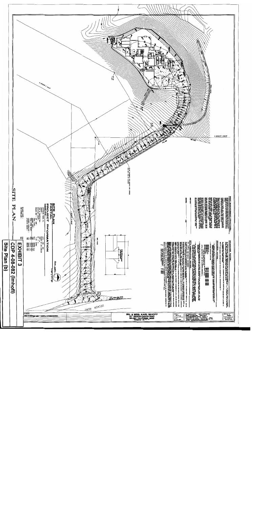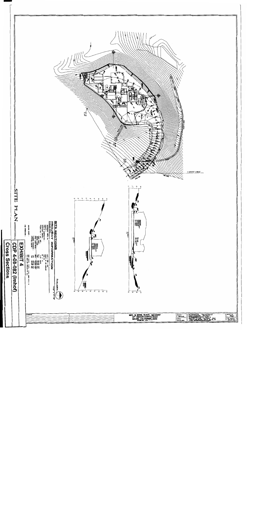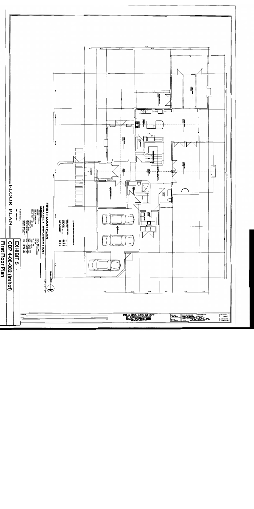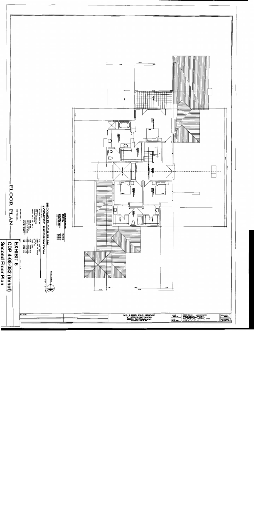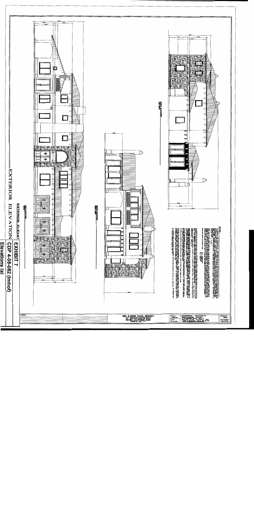